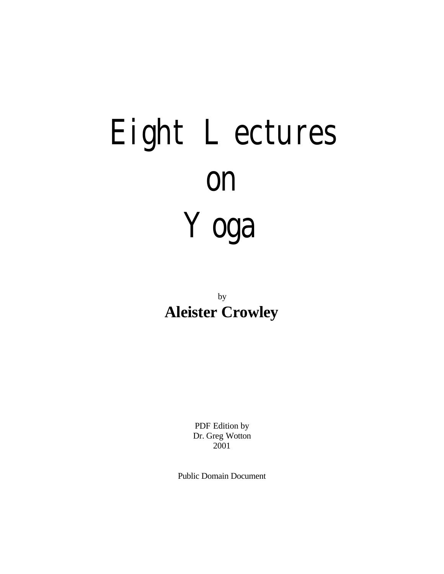# Eight Lectures on Yoga

by **Aleister Crowley**

> PDF Edition by Dr. Greg Wotton 2001

Public Domain Document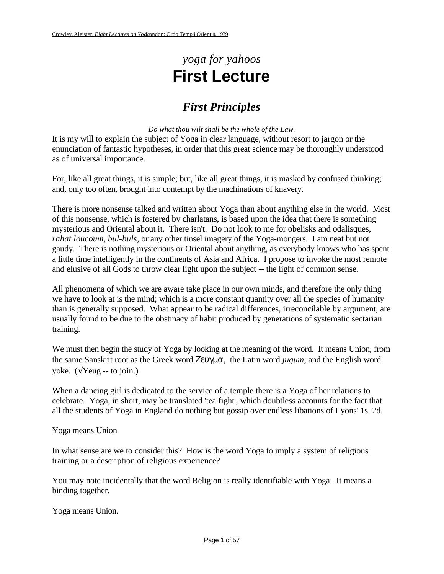## *yoga for yahoos* **First Lecture**

## *First Principles*

#### *Do what thou wilt shall be the whole of the Law.*

It is my will to explain the subject of Yoga in clear language, without resort to jargon or the enunciation of fantastic hypotheses, in order that this great science may be thoroughly understood as of universal importance.

For, like all great things, it is simple; but, like all great things, it is masked by confused thinking; and, only too often, brought into contempt by the machinations of knavery.

There is more nonsense talked and written about Yoga than about anything else in the world. Most of this nonsense, which is fostered by charlatans, is based upon the idea that there is something mysterious and Oriental about it. There isn't. Do not look to me for obelisks and odalisques, *rahat loucoum, bul-buls*, or any other tinsel imagery of the Yoga-mongers. I am neat but not gaudy. There is nothing mysterious or Oriental about anything, as everybody knows who has spent a little time intelligently in the continents of Asia and Africa. I propose to invoke the most remote and elusive of all Gods to throw clear light upon the subject -- the light of common sense.

All phenomena of which we are aware take place in our own minds, and therefore the only thing we have to look at is the mind; which is a more constant quantity over all the species of humanity than is generally supposed. What appear to be radical differences, irreconcilable by argument, are usually found to be due to the obstinacy of habit produced by generations of systematic sectarian training.

We must then begin the study of Yoga by looking at the meaning of the word. It means Union, from the same Sanskrit root as the Greek word Ζευγμα, the Latin word *jugum*, and the English word yoke. ( $\sqrt{Y}$ eug -- to join.)

When a dancing girl is dedicated to the service of a temple there is a Yoga of her relations to celebrate. Yoga, in short, may be translated 'tea fight', which doubtless accounts for the fact that all the students of Yoga in England do nothing but gossip over endless libations of Lyons' 1s. 2d.

Yoga means Union

In what sense are we to consider this? How is the word Yoga to imply a system of religious training or a description of religious experience?

You may note incidentally that the word Religion is really identifiable with Yoga. It means a binding together.

Yoga means Union.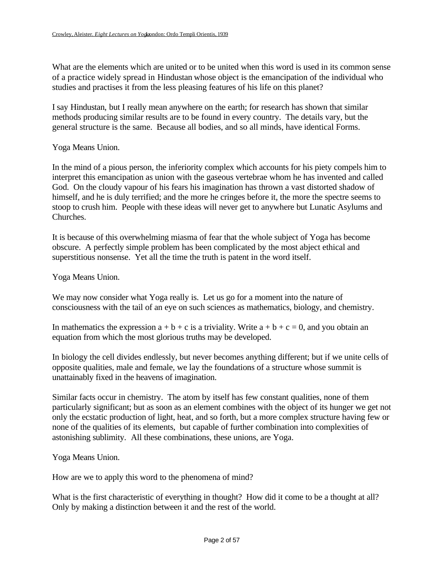What are the elements which are united or to be united when this word is used in its common sense of a practice widely spread in Hindustan whose object is the emancipation of the individual who studies and practises it from the less pleasing features of his life on this planet?

I say Hindustan, but I really mean anywhere on the earth; for research has shown that similar methods producing similar results are to be found in every country. The details vary, but the general structure is the same. Because all bodies, and so all minds, have identical Forms.

Yoga Means Union.

In the mind of a pious person, the inferiority complex which accounts for his piety compels him to interpret this emancipation as union with the gaseous vertebrae whom he has invented and called God. On the cloudy vapour of his fears his imagination has thrown a vast distorted shadow of himself, and he is duly terrified; and the more he cringes before it, the more the spectre seems to stoop to crush him. People with these ideas will never get to anywhere but Lunatic Asylums and Churches.

It is because of this overwhelming miasma of fear that the whole subject of Yoga has become obscure. A perfectly simple problem has been complicated by the most abject ethical and superstitious nonsense. Yet all the time the truth is patent in the word itself.

Yoga Means Union.

We may now consider what Yoga really is. Let us go for a moment into the nature of consciousness with the tail of an eye on such sciences as mathematics, biology, and chemistry.

In mathematics the expression  $a + b + c$  is a triviality. Write  $a + b + c = 0$ , and you obtain an equation from which the most glorious truths may be developed.

In biology the cell divides endlessly, but never becomes anything different; but if we unite cells of opposite qualities, male and female, we lay the foundations of a structure whose summit is unattainably fixed in the heavens of imagination.

Similar facts occur in chemistry. The atom by itself has few constant qualities, none of them particularly significant; but as soon as an element combines with the object of its hunger we get not only the ecstatic production of light, heat, and so forth, but a more complex structure having few or none of the qualities of its elements, but capable of further combination into complexities of astonishing sublimity. All these combinations, these unions, are Yoga.

Yoga Means Union.

How are we to apply this word to the phenomena of mind?

What is the first characteristic of everything in thought? How did it come to be a thought at all? Only by making a distinction between it and the rest of the world.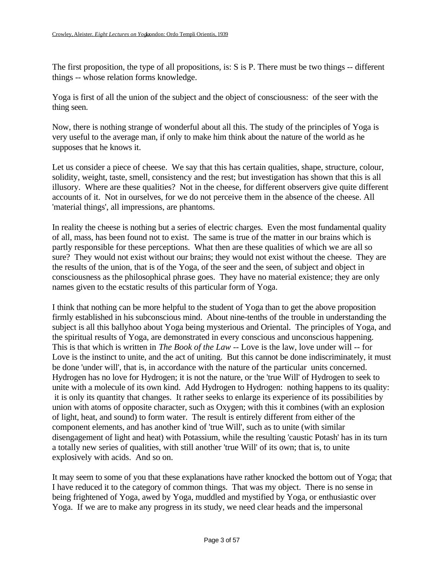The first proposition, the type of all propositions, is: S is P. There must be two things -- different things -- whose relation forms knowledge.

Yoga is first of all the union of the subject and the object of consciousness: of the seer with the thing seen.

Now, there is nothing strange of wonderful about all this. The study of the principles of Yoga is very useful to the average man, if only to make him think about the nature of the world as he supposes that he knows it.

Let us consider a piece of cheese. We say that this has certain qualities, shape, structure, colour, solidity, weight, taste, smell, consistency and the rest; but investigation has shown that this is all illusory. Where are these qualities? Not in the cheese, for different observers give quite different accounts of it. Not in ourselves, for we do not perceive them in the absence of the cheese. All 'material things', all impressions, are phantoms.

In reality the cheese is nothing but a series of electric charges. Even the most fundamental quality of all, mass, has been found not to exist. The same is true of the matter in our brains which is partly responsible for these perceptions. What then are these qualities of which we are all so sure? They would not exist without our brains; they would not exist without the cheese. They are the results of the union, that is of the Yoga, of the seer and the seen, of subject and object in consciousness as the philosophical phrase goes. They have no material existence; they are only names given to the ecstatic results of this particular form of Yoga.

I think that nothing can be more helpful to the student of Yoga than to get the above proposition firmly established in his subconscious mind. About nine-tenths of the trouble in understanding the subject is all this ballyhoo about Yoga being mysterious and Oriental. The principles of Yoga, and the spiritual results of Yoga, are demonstrated in every conscious and unconscious happening. This is that which is written in *The Book of the Law* -- Love is the law, love under will -- for Love is the instinct to unite, and the act of uniting. But this cannot be done indiscriminately, it must be done 'under will', that is, in accordance with the nature of the particular units concerned. Hydrogen has no love for Hydrogen; it is not the nature, or the 'true Will' of Hydrogen to seek to unite with a molecule of its own kind. Add Hydrogen to Hydrogen: nothing happens to its quality: it is only its quantity that changes. It rather seeks to enlarge its experience of its possibilities by union with atoms of opposite character, such as Oxygen; with this it combines (with an explosion of light, heat, and sound) to form water. The result is entirely different from either of the component elements, and has another kind of 'true Will', such as to unite (with similar disengagement of light and heat) with Potassium, while the resulting 'caustic Potash' has in its turn a totally new series of qualities, with still another 'true Will' of its own; that is, to unite explosively with acids. And so on.

It may seem to some of you that these explanations have rather knocked the bottom out of Yoga; that I have reduced it to the category of common things. That was my object. There is no sense in being frightened of Yoga, awed by Yoga, muddled and mystified by Yoga, or enthusiastic over Yoga. If we are to make any progress in its study, we need clear heads and the impersonal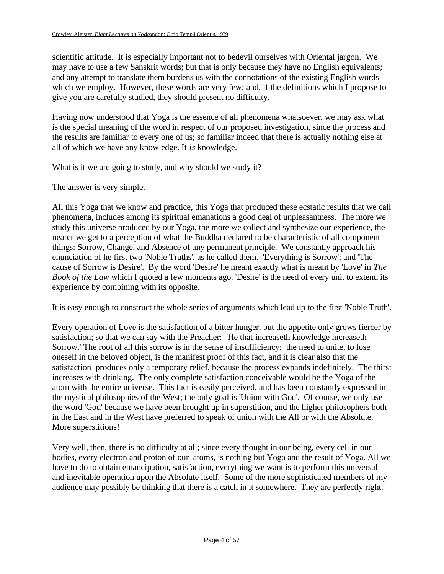scientific attitude. It is especially important not to bedevil ourselves with Oriental jargon. We may have to use a few Sanskrit words; but that is only because they have no English equivalents; and any attempt to translate them burdens us with the connotations of the existing English words which we employ. However, these words are very few; and, if the definitions which I propose to give you are carefully studied, they should present no difficulty.

Having now understood that Yoga is the essence of all phenomena whatsoever, we may ask what is the special meaning of the word in respect of our proposed investigation, since the process and the results are familiar to every one of us; so familiar indeed that there is actually nothing else at all of which we have any knowledge. It *is* knowledge.

What is it we are going to study, and why should we study it?

The answer is very simple.

All this Yoga that we know and practice, this Yoga that produced these ecstatic results that we call phenomena, includes among its spiritual emanations a good deal of unpleasantness. The more we study this universe produced by our Yoga, the more we collect and synthesize our experience, the nearer we get to a perception of what the Buddha declared to be characteristic of all component things: Sorrow, Change, and Absence of any permanent principle. We constantly approach his enunciation of he first two 'Noble Truths', as he called them. 'Everything is Sorrow'; and 'The cause of Sorrow is Desire'. By the word 'Desire' he meant exactly what is meant by 'Love' in *The Book of the Law* which I quoted a few moments ago. 'Desire' is the need of every unit to extend its experience by combining with its opposite.

It is easy enough to construct the whole series of arguments which lead up to the first 'Noble Truth'.

Every operation of Love is the satisfaction of a bitter hunger, but the appetite only grows fiercer by satisfaction; so that we can say with the Preacher: 'He that increaseth knowledge increaseth Sorrow.' The root of all this sorrow is in the sense of insufficiency; the need to unite, to lose oneself in the beloved object, is the manifest proof of this fact, and it is clear also that the satisfaction produces only a temporary relief, because the process expands indefinitely. The thirst increases with drinking. The only complete satisfaction conceivable would be the Yoga of the atom with the entire universe. This fact is easily perceived, and has been constantly expressed in the mystical philosophies of the West; the only goal is 'Union with God'. Of course, we only use the word 'God' because we have been brought up in superstition, and the higher philosophers both in the East and in the West have preferred to speak of union with the All or with the Absolute. More superstitions!

Very well, then, there is no difficulty at all; since every thought in our being, every cell in our bodies, every electron and proton of our atoms, is nothing but Yoga and the result of Yoga. All we have to do to obtain emancipation, satisfaction, everything we want is to perform this universal and inevitable operation upon the Absolute itself. Some of the more sophisticated members of my audience may possibly be thinking that there is a catch in it somewhere. They are perfectly right.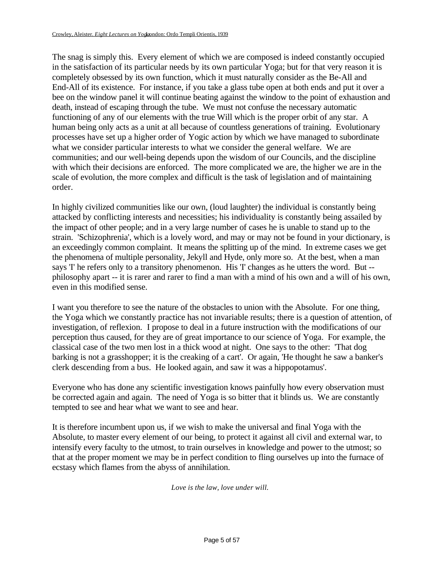The snag is simply this. Every element of which we are composed is indeed constantly occupied in the satisfaction of its particular needs by its own particular Yoga; but for that very reason it is completely obsessed by its own function, which it must naturally consider as the Be-All and End-All of its existence. For instance, if you take a glass tube open at both ends and put it over a bee on the window panel it will continue beating against the window to the point of exhaustion and death, instead of escaping through the tube. We must not confuse the necessary automatic functioning of any of our elements with the true Will which is the proper orbit of any star. A human being only acts as a unit at all because of countless generations of training. Evolutionary processes have set up a higher order of Yogic action by which we have managed to subordinate what we consider particular interests to what we consider the general welfare. We are communities; and our well-being depends upon the wisdom of our Councils, and the discipline with which their decisions are enforced. The more complicated we are, the higher we are in the scale of evolution, the more complex and difficult is the task of legislation and of maintaining order.

In highly civilized communities like our own, (loud laughter) the individual is constantly being attacked by conflicting interests and necessities; his individuality is constantly being assailed by the impact of other people; and in a very large number of cases he is unable to stand up to the strain. 'Schizophrenia', which is a lovely word, and may or may not be found in your dictionary, is an exceedingly common complaint. It means the splitting up of the mind. In extreme cases we get the phenomena of multiple personality, Jekyll and Hyde, only more so. At the best, when a man says T he refers only to a transitory phenomenon. His T changes as he utters the word. But -philosophy apart -- it is rarer and rarer to find a man with a mind of his own and a will of his own, even in this modified sense.

I want you therefore to see the nature of the obstacles to union with the Absolute. For one thing, the Yoga which we constantly practice has not invariable results; there is a question of attention, of investigation, of reflexion. I propose to deal in a future instruction with the modifications of our perception thus caused, for they are of great importance to our science of Yoga. For example, the classical case of the two men lost in a thick wood at night. One says to the other: 'That dog barking is not a grasshopper; it is the creaking of a cart'. Or again, 'He thought he saw a banker's clerk descending from a bus. He looked again, and saw it was a hippopotamus'.

Everyone who has done any scientific investigation knows painfully how every observation must be corrected again and again. The need of Yoga is so bitter that it blinds us. We are constantly tempted to see and hear what we want to see and hear.

It is therefore incumbent upon us, if we wish to make the universal and final Yoga with the Absolute, to master every element of our being, to protect it against all civil and external war, to intensify every faculty to the utmost, to train ourselves in knowledge and power to the utmost; so that at the proper moment we may be in perfect condition to fling ourselves up into the furnace of ecstasy which flames from the abyss of annihilation.

*Love is the law, love under will.*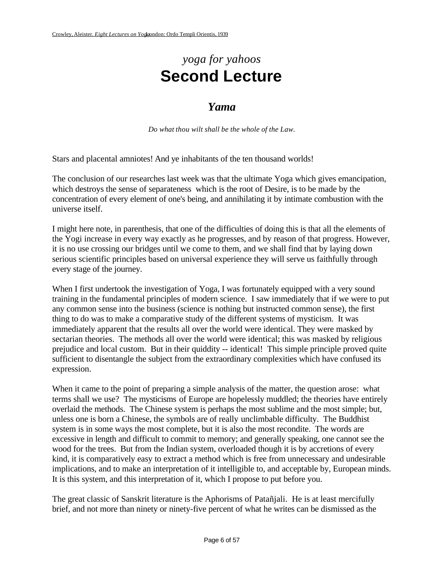## *yoga for yahoos* **Second Lecture**

### *Yama*

*Do what thou wilt shall be the whole of the Law.*

Stars and placental amniotes! And ye inhabitants of the ten thousand worlds!

The conclusion of our researches last week was that the ultimate Yoga which gives emancipation, which destroys the sense of separateness which is the root of Desire, is to be made by the concentration of every element of one's being, and annihilating it by intimate combustion with the universe itself.

I might here note, in parenthesis, that one of the difficulties of doing this is that all the elements of the Yogi increase in every way exactly as he progresses, and by reason of that progress. However, it is no use crossing our bridges until we come to them, and we shall find that by laying down serious scientific principles based on universal experience they will serve us faithfully through every stage of the journey.

When I first undertook the investigation of Yoga, I was fortunately equipped with a very sound training in the fundamental principles of modern science. I saw immediately that if we were to put any common sense into the business (science is nothing but instructed common sense), the first thing to do was to make a comparative study of the different systems of mysticism. It was immediately apparent that the results all over the world were identical. They were masked by sectarian theories. The methods all over the world were identical; this was masked by religious prejudice and local custom. But in their quiddity -- identical! This simple principle proved quite sufficient to disentangle the subject from the extraordinary complexities which have confused its expression.

When it came to the point of preparing a simple analysis of the matter, the question arose: what terms shall we use? The mysticisms of Europe are hopelessly muddled; the theories have entirely overlaid the methods. The Chinese system is perhaps the most sublime and the most simple; but, unless one is born a Chinese, the symbols are of really unclimbable difficulty. The Buddhist system is in some ways the most complete, but it is also the most recondite. The words are excessive in length and difficult to commit to memory; and generally speaking, one cannot see the wood for the trees. But from the Indian system, overloaded though it is by accretions of every kind, it is comparatively easy to extract a method which is free from unnecessary and undesirable implications, and to make an interpretation of it intelligible to, and acceptable by, European minds. It is this system, and this interpretation of it, which I propose to put before you.

The great classic of Sanskrit literature is the Aphorisms of Patañjali. He is at least mercifully brief, and not more than ninety or ninety-five percent of what he writes can be dismissed as the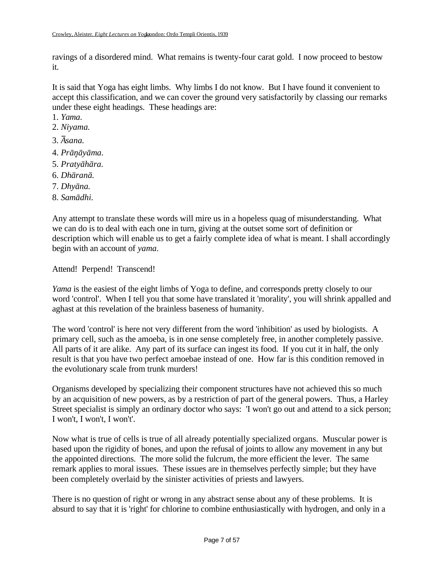ravings of a disordered mind. What remains is twenty-four carat gold. I now proceed to bestow it.

It is said that Yoga has eight limbs. Why limbs I do not know. But I have found it convenient to accept this classification, and we can cover the ground very satisfactorily by classing our remarks under these eight headings. These headings are:

- 1. *Yama*.
- 2. *Niyama.*
- 3. *A¤sana.*
- 4. *Pra¤n²a¤ya¤ma*.
- 5. *Pratya¤ha¤ra.*
- 6. *Dha¤rana¤.*
- 7. *Dhya¤na.*
- 8. *Sama¤dhi.*

Any attempt to translate these words will mire us in a hopeless quag of misunderstanding. What we can do is to deal with each one in turn, giving at the outset some sort of definition or description which will enable us to get a fairly complete idea of what is meant. I shall accordingly begin with an account of *yama*.

Attend! Perpend! Transcend!

*Yama* is the easiest of the eight limbs of Yoga to define, and corresponds pretty closely to our word 'control'. When I tell you that some have translated it 'morality', you will shrink appalled and aghast at this revelation of the brainless baseness of humanity.

The word 'control' is here not very different from the word 'inhibition' as used by biologists. A primary cell, such as the amoeba, is in one sense completely free, in another completely passive. All parts of it are alike. Any part of its surface can ingest its food. If you cut it in half, the only result is that you have two perfect amoebae instead of one. How far is this condition removed in the evolutionary scale from trunk murders!

Organisms developed by specializing their component structures have not achieved this so much by an acquisition of new powers, as by a restriction of part of the general powers. Thus, a Harley Street specialist is simply an ordinary doctor who says: 'I won't go out and attend to a sick person; I won't, I won't, I won't'.

Now what is true of cells is true of all already potentially specialized organs. Muscular power is based upon the rigidity of bones, and upon the refusal of joints to allow any movement in any but the appointed directions. The more solid the fulcrum, the more efficient the lever. The same remark applies to moral issues. These issues are in themselves perfectly simple; but they have been completely overlaid by the sinister activities of priests and lawyers.

There is no question of right or wrong in any abstract sense about any of these problems. It is absurd to say that it is 'right' for chlorine to combine enthusiastically with hydrogen, and only in a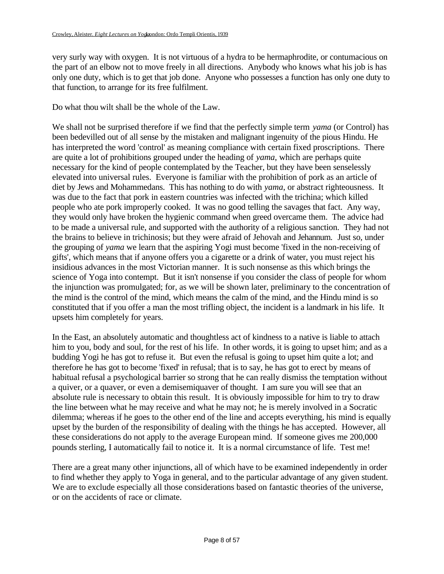very surly way with oxygen. It is not virtuous of a hydra to be hermaphrodite, or contumacious on the part of an elbow not to move freely in all directions. Anybody who knows what his job is has only one duty, which is to get that job done. Anyone who possesses a function has only one duty to that function, to arrange for its free fulfilment.

Do what thou wilt shall be the whole of the Law.

We shall not be surprised therefore if we find that the perfectly simple term *yama* (or Control) has been bedevilled out of all sense by the mistaken and malignant ingenuity of the pious Hindu. He has interpreted the word 'control' as meaning compliance with certain fixed proscriptions. There are quite a lot of prohibitions grouped under the heading of *yama*, which are perhaps quite necessary for the kind of people contemplated by the Teacher, but they have been senselessly elevated into universal rules. Everyone is familiar with the prohibition of pork as an article of diet by Jews and Mohammedans. This has nothing to do with *yama*, or abstract righteousness. It was due to the fact that pork in eastern countries was infected with the trichina; which killed people who ate pork improperly cooked. It was no good telling the savages that fact. Any way, they would only have broken the hygienic command when greed overcame them. The advice had to be made a universal rule, and supported with the authority of a religious sanction. They had not the brains to believe in trichinosis; but they were afraid of Jehovah and Jehannum. Just so, under the grouping of *yama* we learn that the aspiring Yogi must become 'fixed in the non-receiving of gifts', which means that if anyone offers you a cigarette or a drink of water, you must reject his insidious advances in the most Victorian manner. It is such nonsense as this which brings the science of Yoga into contempt. But it isn't nonsense if you consider the class of people for whom the injunction was promulgated; for, as we will be shown later, preliminary to the concentration of the mind is the control of the mind, which means the calm of the mind, and the Hindu mind is so constituted that if you offer a man the most trifling object, the incident is a landmark in his life. It upsets him completely for years.

In the East, an absolutely automatic and thoughtless act of kindness to a native is liable to attach him to you, body and soul, for the rest of his life. In other words, it is going to upset him; and as a budding Yogi he has got to refuse it. But even the refusal is going to upset him quite a lot; and therefore he has got to become 'fixed' in refusal; that is to say, he has got to erect by means of habitual refusal a psychological barrier so strong that he can really dismiss the temptation without a quiver, or a quaver, or even a demisemiquaver of thought. I am sure you will see that an absolute rule is necessary to obtain this result. It is obviously impossible for him to try to draw the line between what he may receive and what he may not; he is merely involved in a Socratic dilemma; whereas if he goes to the other end of the line and accepts everything, his mind is equally upset by the burden of the responsibility of dealing with the things he has accepted. However, all these considerations do not apply to the average European mind. If someone gives me 200,000 pounds sterling, I automatically fail to notice it. It is a normal circumstance of life. Test me!

There are a great many other injunctions, all of which have to be examined independently in order to find whether they apply to Yoga in general, and to the particular advantage of any given student. We are to exclude especially all those considerations based on fantastic theories of the universe, or on the accidents of race or climate.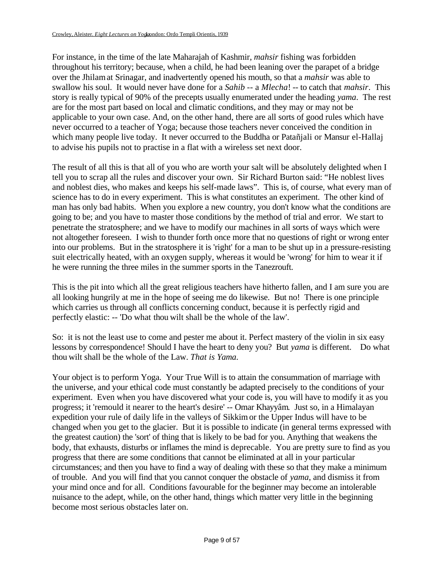For instance, in the time of the late Maharajah of Kashmir, *mahsir* fishing was forbidden throughout his territory; because, when a child, he had been leaning over the parapet of a bridge over the Jhilam at Srinagar, and inadvertently opened his mouth, so that a *mahsir* was able to swallow his soul. It would never have done for a *Sahib* -- a *Mlecha*! -- to catch that *mahsir*. This story is really typical of 90% of the precepts usually enumerated under the heading *yama*. The rest are for the most part based on local and climatic conditions, and they may or may not be applicable to your own case. And, on the other hand, there are all sorts of good rules which have never occurred to a teacher of Yoga; because those teachers never conceived the condition in which many people live today. It never occurred to the Buddha or Patañjali or Mansur el-Hallaj to advise his pupils not to practise in a flat with a wireless set next door.

The result of all this is that all of you who are worth your salt will be absolutely delighted when I tell you to scrap all the rules and discover your own. Sir Richard Burton said: "He noblest lives and noblest dies, who makes and keeps his self-made laws". This is, of course, what every man of science has to do in every experiment. This is what constitutes an experiment. The other kind of man has only bad habits. When you explore a new country, you don't know what the conditions are going to be; and you have to master those conditions by the method of trial and error. We start to penetrate the stratosphere; and we have to modify our machines in all sorts of ways which were not altogether foreseen. I wish to thunder forth once more that no questions of right or wrong enter into our problems. But in the stratosphere it is 'right' for a man to be shut up in a pressure-resisting suit electrically heated, with an oxygen supply, whereas it would be 'wrong' for him to wear it if he were running the three miles in the summer sports in the Tanezrouft.

This is the pit into which all the great religious teachers have hitherto fallen, and I am sure you are all looking hungrily at me in the hope of seeing me do likewise. But no! There is one principle which carries us through all conflicts concerning conduct, because it is perfectly rigid and perfectly elastic: -- 'Do what thou wilt shall be the whole of the law'.

So: it is not the least use to come and pester me about it. Perfect mastery of the violin in six easy lessons by correspondence! Should I have the heart to deny you? But *yama* is different. Do what thou wilt shall be the whole of the Law. *That is Yama*.

Your object is to perform Yoga. Your True Will is to attain the consummation of marriage with the universe, and your ethical code must constantly be adapted precisely to the conditions of your experiment. Even when you have discovered what your code is, you will have to modify it as you progress; it 'remould it nearer to the heart's desire' -- Omar Khayyâm. Just so, in a Himalayan expedition your rule of daily life in the valleys of Sikkim or the Upper Indus will have to be changed when you get to the glacier. But it is possible to indicate (in general terms expressed with the greatest caution) the 'sort' of thing that is likely to be bad for you. Anything that weakens the body, that exhausts, disturbs or inflames the mind is deprecable. You are pretty sure to find as you progress that there are some conditions that cannot be eliminated at all in your particular circumstances; and then you have to find a way of dealing with these so that they make a minimum of trouble. And you will find that you cannot conquer the obstacle of *yama*, and dismiss it from your mind once and for all. Conditions favourable for the beginner may become an intolerable nuisance to the adept, while, on the other hand, things which matter very little in the beginning become most serious obstacles later on.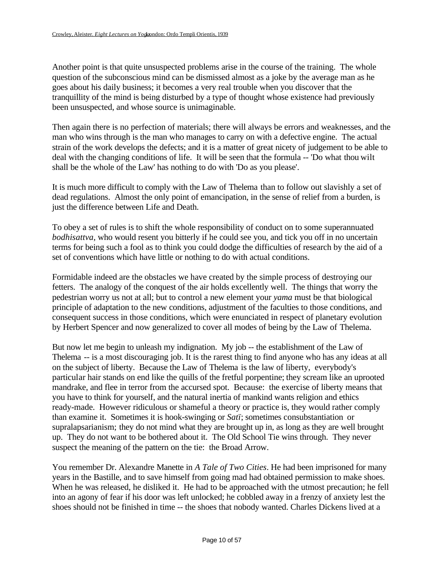Another point is that quite unsuspected problems arise in the course of the training. The whole question of the subconscious mind can be dismissed almost as a joke by the average man as he goes about his daily business; it becomes a very real trouble when you discover that the tranquillity of the mind is being disturbed by a type of thought whose existence had previously been unsuspected, and whose source is unimaginable.

Then again there is no perfection of materials; there will always be errors and weaknesses, and the man who wins through is the man who manages to carry on with a defective engine. The actual strain of the work develops the defects; and it is a matter of great nicety of judgement to be able to deal with the changing conditions of life. It will be seen that the formula -- 'Do what thou wilt shall be the whole of the Law' has nothing to do with 'Do as you please'.

It is much more difficult to comply with the Law of Thelema than to follow out slavishly a set of dead regulations. Almost the only point of emancipation, in the sense of relief from a burden, is just the difference between Life and Death.

To obey a set of rules is to shift the whole responsibility of conduct on to some superannuated *bodhisattva*, who would resent you bitterly if he could see you, and tick you off in no uncertain terms for being such a fool as to think you could dodge the difficulties of research by the aid of a set of conventions which have little or nothing to do with actual conditions.

Formidable indeed are the obstacles we have created by the simple process of destroying our fetters. The analogy of the conquest of the air holds excellently well. The things that worry the pedestrian worry us not at all; but to control a new element your *yama* must be that biological principle of adaptation to the new conditions, adjustment of the faculties to those conditions, and consequent success in those conditions, which were enunciated in respect of planetary evolution by Herbert Spencer and now generalized to cover all modes of being by the Law of Thelema.

But now let me begin to unleash my indignation. My job -- the establishment of the Law of Thelema -- is a most discouraging job. It is the rarest thing to find anyone who has any ideas at all on the subject of liberty. Because the Law of Thelema is the law of liberty, everybody's particular hair stands on end like the quills of the fretful porpentine; they scream like an uprooted mandrake, and flee in terror from the accursed spot. Because: the exercise of liberty means that you have to think for yourself, and the natural inertia of mankind wants religion and ethics ready-made. However ridiculous or shameful a theory or practice is, they would rather comply than examine it. Sometimes it is hook-swinging or *Satï*; sometimes consubstantiation or supralapsarianism; they do not mind what they are brought up in, as long as they are well brought up. They do not want to be bothered about it. The Old School Tie wins through. They never suspect the meaning of the pattern on the tie: the Broad Arrow.

You remember Dr. Alexandre Manette in *A Tale of Two Cities*. He had been imprisoned for many years in the Bastille, and to save himself from going mad had obtained permission to make shoes. When he was released, he disliked it. He had to be approached with the utmost precaution; he fell into an agony of fear if his door was left unlocked; he cobbled away in a frenzy of anxiety lest the shoes should not be finished in time -- the shoes that nobody wanted. Charles Dickens lived at a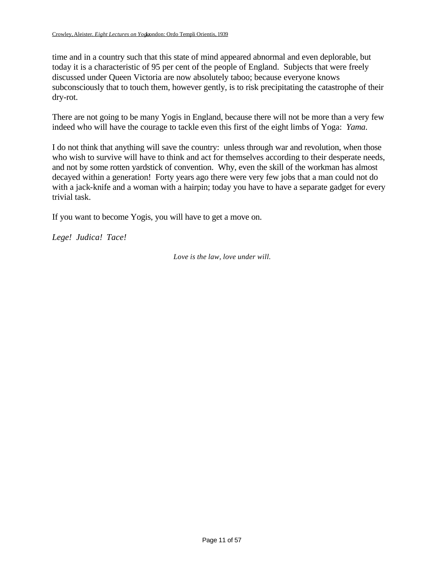time and in a country such that this state of mind appeared abnormal and even deplorable, but today it is a characteristic of 95 per cent of the people of England. Subjects that were freely discussed under Queen Victoria are now absolutely taboo; because everyone knows subconsciously that to touch them, however gently, is to risk precipitating the catastrophe of their dry-rot.

There are not going to be many Yogis in England, because there will not be more than a very few indeed who will have the courage to tackle even this first of the eight limbs of Yoga: *Yama*.

I do not think that anything will save the country: unless through war and revolution, when those who wish to survive will have to think and act for themselves according to their desperate needs, and not by some rotten yardstick of convention. Why, even the skill of the workman has almost decayed within a generation! Forty years ago there were very few jobs that a man could not do with a jack-knife and a woman with a hairpin; today you have to have a separate gadget for every trivial task.

If you want to become Yogis, you will have to get a move on.

*Lege! Judica! Tace!*

*Love is the law, love under will.*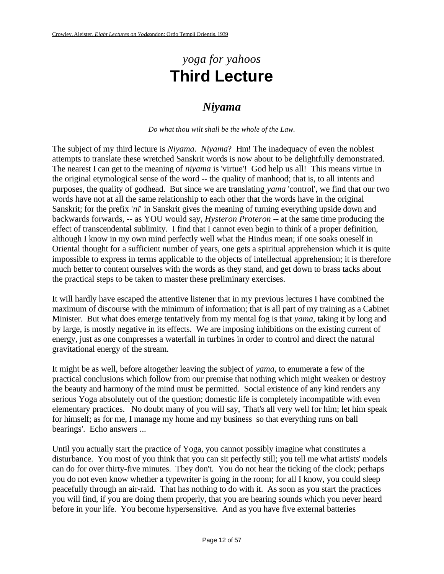# *yoga for yahoos* **Third Lecture**

## *Niyama*

*Do what thou wilt shall be the whole of the Law.*

The subject of my third lecture is *Niyama*. *Niyama*? Hm! The inadequacy of even the noblest attempts to translate these wretched Sanskrit words is now about to be delightfully demonstrated. The nearest I can get to the meaning of *niyama* is 'virtue'! God help us all! This means virtue in the original etymological sense of the word -- the quality of manhood; that is, to all intents and purposes, the quality of godhead. But since we are translating *yama* 'control', we find that our two words have not at all the same relationship to each other that the words have in the original Sanskrit; for the prefix '*ni*' in Sanskrit gives the meaning of turning everything upside down and backwards forwards, -- as YOU would say, *Hysteron Proteron* -- at the same time producing the effect of transcendental sublimity. I find that I cannot even begin to think of a proper definition, although I know in my own mind perfectly well what the Hindus mean; if one soaks oneself in Oriental thought for a sufficient number of years, one gets a spiritual apprehension which it is quite impossible to express in terms applicable to the objects of intellectual apprehension; it is therefore much better to content ourselves with the words as they stand, and get down to brass tacks about the practical steps to be taken to master these preliminary exercises.

It will hardly have escaped the attentive listener that in my previous lectures I have combined the maximum of discourse with the minimum of information; that is all part of my training as a Cabinet Minister. But what does emerge tentatively from my mental fog is that *yama*, taking it by long and by large, is mostly negative in its effects. We are imposing inhibitions on the existing current of energy, just as one compresses a waterfall in turbines in order to control and direct the natural gravitational energy of the stream.

It might be as well, before altogether leaving the subject of *yama*, to enumerate a few of the practical conclusions which follow from our premise that nothing which might weaken or destroy the beauty and harmony of the mind must be permitted. Social existence of any kind renders any serious Yoga absolutely out of the question; domestic life is completely incompatible with even elementary practices. No doubt many of you will say, 'That's all very well for him; let him speak for himself; as for me, I manage my home and my business so that everything runs on ball bearings'. Echo answers ...

Until you actually start the practice of Yoga, you cannot possibly imagine what constitutes a disturbance. You most of you think that you can sit perfectly still; you tell me what artists' models can do for over thirty-five minutes. They don't. You do not hear the ticking of the clock; perhaps you do not even know whether a typewriter is going in the room; for all I know, you could sleep peacefully through an air-raid. That has nothing to do with it. As soon as you start the practices you will find, if you are doing them properly, that you are hearing sounds which you never heard before in your life. You become hypersensitive. And as you have five external batteries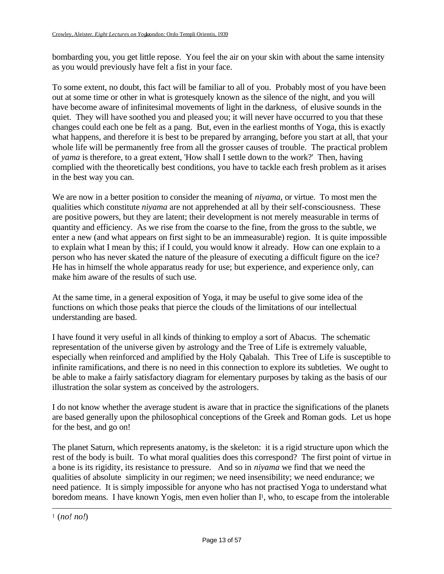bombarding you, you get little repose. You feel the air on your skin with about the same intensity as you would previously have felt a fist in your face.

To some extent, no doubt, this fact will be familiar to all of you. Probably most of you have been out at some time or other in what is grotesquely known as the silence of the night, and you will have become aware of infinitesimal movements of light in the darkness, of elusive sounds in the quiet. They will have soothed you and pleased you; it will never have occurred to you that these changes could each one be felt as a pang. But, even in the earliest months of Yoga, this is exactly what happens, and therefore it is best to be prepared by arranging, before you start at all, that your whole life will be permanently free from all the grosser causes of trouble. The practical problem of *yama* is therefore, to a great extent, 'How shall I settle down to the work?' Then, having complied with the theoretically best conditions, you have to tackle each fresh problem as it arises in the best way you can.

We are now in a better position to consider the meaning of *niyama*, or virtue. To most men the qualities which constitute *niyama* are not apprehended at all by their self-consciousness. These are positive powers, but they are latent; their development is not merely measurable in terms of quantity and efficiency. As we rise from the coarse to the fine, from the gross to the subtle, we enter a new (and what appears on first sight to be an immeasurable) region. It is quite impossible to explain what I mean by this; if I could, you would know it already. How can one explain to a person who has never skated the nature of the pleasure of executing a difficult figure on the ice? He has in himself the whole apparatus ready for use; but experience, and experience only, can make him aware of the results of such use.

At the same time, in a general exposition of Yoga, it may be useful to give some idea of the functions on which those peaks that pierce the clouds of the limitations of our intellectual understanding are based.

I have found it very useful in all kinds of thinking to employ a sort of Abacus. The schematic representation of the universe given by astrology and the Tree of Life is extremely valuable, especially when reinforced and amplified by the Holy Qabalah. This Tree of Life is susceptible to infinite ramifications, and there is no need in this connection to explore its subtleties. We ought to be able to make a fairly satisfactory diagram for elementary purposes by taking as the basis of our illustration the solar system as conceived by the astrologers.

I do not know whether the average student is aware that in practice the significations of the planets are based generally upon the philosophical conceptions of the Greek and Roman gods. Let us hope for the best, and go on!

The planet Saturn, which represents anatomy, is the skeleton: it is a rigid structure upon which the rest of the body is built. To what moral qualities does this correspond? The first point of virtue in a bone is its rigidity, its resistance to pressure. And so in *niyama* we find that we need the qualities of absolute simplicity in our regimen; we need insensibility; we need endurance; we need patience. It is simply impossible for anyone who has not practised Yoga to understand what boredom means. I have known Yogis, men even holier than I<sup>1</sup>, who, to escape from the intolerable

<sup>1</sup> (*no! no!*)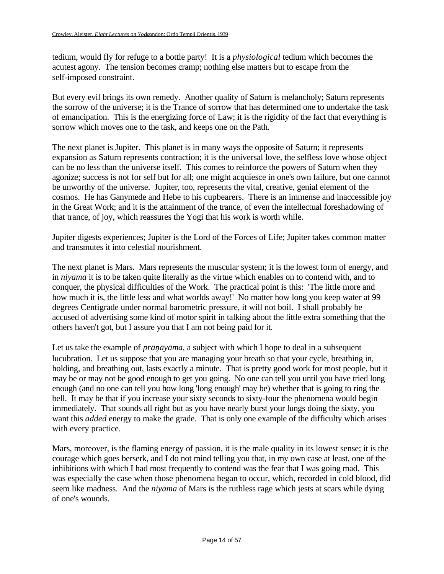tedium, would fly for refuge to a bottle party! It is a *physiological* tedium which becomes the acutest agony. The tension becomes cramp; nothing else matters but to escape from the self-imposed constraint.

But every evil brings its own remedy. Another quality of Saturn is melancholy; Saturn represents the sorrow of the universe; it is the Trance of sorrow that has determined one to undertake the task of emancipation. This is the energizing force of Law; it is the rigidity of the fact that everything is sorrow which moves one to the task, and keeps one on the Path.

The next planet is Jupiter. This planet is in many ways the opposite of Saturn; it represents expansion as Saturn represents contraction; it is the universal love, the selfless love whose object can be no less than the universe itself. This comes to reinforce the powers of Saturn when they agonize; success is not for self but for all; one might acquiesce in one's own failure, but one cannot be unworthy of the universe. Jupiter, too, represents the vital, creative, genial element of the cosmos. He has Ganymede and Hebe to his cupbearers. There is an immense and inaccessible joy in the Great Work; and it is the attainment of the trance, of even the intellectual foreshadowing of that trance, of joy, which reassures the Yogi that his work is worth while.

Jupiter digests experiences; Jupiter is the Lord of the Forces of Life; Jupiter takes common matter and transmutes it into celestial nourishment.

The next planet is Mars. Mars represents the muscular system; it is the lowest form of energy, and in *niyama* it is to be taken quite literally as the virtue which enables on to contend with, and to conquer, the physical difficulties of the Work. The practical point is this: 'The little more and how much it is, the little less and what worlds away!' No matter how long you keep water at 99 degrees Centigrade under normal barometric pressure, it will not boil. I shall probably be accused of advertising some kind of motor spirit in talking about the little extra something that the others haven't got, but I assure you that I am not being paid for it.

Let us take the example of *prāņā yāma*, a subject with which I hope to deal in a subsequent lucubration. Let us suppose that you are managing your breath so that your cycle, breathing in, holding, and breathing out, lasts exactly a minute. That is pretty good work for most people, but it may be or may not be good enough to get you going. No one can tell you until you have tried long enough (and no one can tell you how long 'long enough' may be) whether that is going to ring the bell. It may be that if you increase your sixty seconds to sixty-four the phenomena would begin immediately. That sounds all right but as you have nearly burst your lungs doing the sixty, you want this *added* energy to make the grade. That is only one example of the difficulty which arises with every practice.

Mars, moreover, is the flaming energy of passion, it is the male quality in its lowest sense; it is the courage which goes berserk, and I do not mind telling you that, in my own case at least, one of the inhibitions with which I had most frequently to contend was the fear that I was going mad. This was especially the case when those phenomena began to occur, which, recorded in cold blood, did seem like madness. And the *niyama* of Mars is the ruthless rage which jests at scars while dying of one's wounds.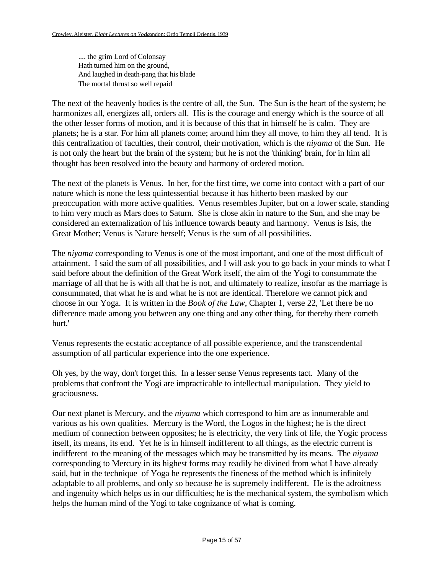.... the grim Lord of Colonsay Hath turned him on the ground, And laughed in death-pang that his blade The mortal thrust so well repaid

The next of the heavenly bodies is the centre of all, the Sun. The Sun is the heart of the system; he harmonizes all, energizes all, orders all. His is the courage and energy which is the source of all the other lesser forms of motion, and it is because of this that in himself he is calm. They are planets; he is a star. For him all planets come; around him they all move, to him they all tend. It is this centralization of faculties, their control, their motivation, which is the *niyama* of the Sun. He is not only the heart but the brain of the system; but he is not the 'thinking' brain, for in him all thought has been resolved into the beauty and harmony of ordered motion.

The next of the planets is Venus. In her, for the first time, we come into contact with a part of our nature which is none the less quintessential because it has hitherto been masked by our preoccupation with more active qualities. Venus resembles Jupiter, but on a lower scale, standing to him very much as Mars does to Saturn. She is close akin in nature to the Sun, and she may be considered an externalization of his influence towards beauty and harmony. Venus is Isis, the Great Mother; Venus is Nature herself; Venus is the sum of all possibilities.

The *niyama* corresponding to Venus is one of the most important, and one of the most difficult of attainment. I said the sum of all possibilities, and I will ask you to go back in your minds to what I said before about the definition of the Great Work itself, the aim of the Yogi to consummate the marriage of all that he is with all that he is not, and ultimately to realize, insofar as the marriage is consummated, that what he is and what he is not are identical. Therefore we cannot pick and choose in our Yoga. It is written in the *Book of the Law*, Chapter 1, verse 22, 'Let there be no difference made among you between any one thing and any other thing, for thereby there cometh hurt.'

Venus represents the ecstatic acceptance of all possible experience, and the transcendental assumption of all particular experience into the one experience.

Oh yes, by the way, don't forget this. In a lesser sense Venus represents tact. Many of the problems that confront the Yogi are impracticable to intellectual manipulation. They yield to graciousness.

Our next planet is Mercury, and the *niyama* which correspond to him are as innumerable and various as his own qualities. Mercury is the Word, the Logos in the highest; he is the direct medium of connection between opposites; he is electricity, the very link of life, the Yogic process itself, its means, its end. Yet he is in himself indifferent to all things, as the electric current is indifferent to the meaning of the messages which may be transmitted by its means. The *niyama* corresponding to Mercury in its highest forms may readily be divined from what I have already said, but in the technique of Yoga he represents the fineness of the method which is infinitely adaptable to all problems, and only so because he is supremely indifferent. He is the adroitness and ingenuity which helps us in our difficulties; he is the mechanical system, the symbolism which helps the human mind of the Yogi to take cognizance of what is coming.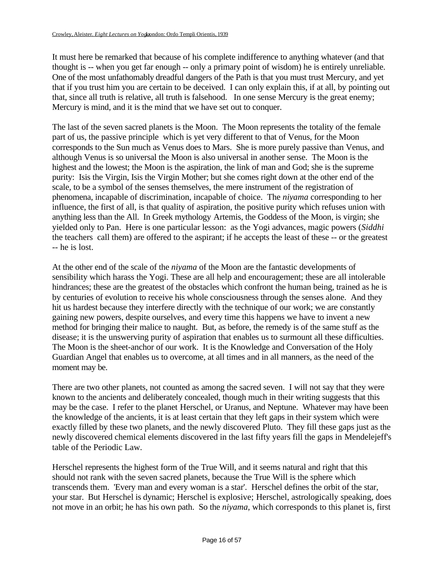It must here be remarked that because of his complete indifference to anything whatever (and that thought is -- when you get far enough -- only a primary point of wisdom) he is entirely unreliable. One of the most unfathomably dreadful dangers of the Path is that you must trust Mercury, and yet that if you trust him you are certain to be deceived. I can only explain this, if at all, by pointing out that, since all truth is relative, all truth is falsehood. In one sense Mercury is the great enemy; Mercury is mind, and it is the mind that we have set out to conquer.

The last of the seven sacred planets is the Moon. The Moon represents the totality of the female part of us, the passive principle which is yet very different to that of Venus, for the Moon corresponds to the Sun much as Venus does to Mars. She is more purely passive than Venus, and although Venus is so universal the Moon is also universal in another sense. The Moon is the highest and the lowest; the Moon is the aspiration, the link of man and God; she is the supreme purity: Isis the Virgin, Isis the Virgin Mother; but she comes right down at the other end of the scale, to be a symbol of the senses themselves, the mere instrument of the registration of phenomena, incapable of discrimination, incapable of choice. The *niyama* corresponding to her influence, the first of all, is that quality of aspiration, the positive purity which refuses union with anything less than the All. In Greek mythology Artemis, the Goddess of the Moon, is virgin; she yielded only to Pan. Here is one particular lesson: as the Yogi advances, magic powers (*Siddhi* the teachers call them) are offered to the aspirant; if he accepts the least of these -- or the greatest -- he is lost.

At the other end of the scale of the *niyama* of the Moon are the fantastic developments of sensibility which harass the Yogi. These are all help and encouragement; these are all intolerable hindrances; these are the greatest of the obstacles which confront the human being, trained as he is by centuries of evolution to receive his whole consciousness through the senses alone. And they hit us hardest because they interfere directly with the technique of our work; we are constantly gaining new powers, despite ourselves, and every time this happens we have to invent a new method for bringing their malice to naught. But, as before, the remedy is of the same stuff as the disease; it is the unswerving purity of aspiration that enables us to surmount all these difficulties. The Moon is the sheet-anchor of our work. It is the Knowledge and Conversation of the Holy Guardian Angel that enables us to overcome, at all times and in all manners, as the need of the moment may be.

There are two other planets, not counted as among the sacred seven. I will not say that they were known to the ancients and deliberately concealed, though much in their writing suggests that this may be the case. I refer to the planet Herschel, or Uranus, and Neptune. Whatever may have been the knowledge of the ancients, it is at least certain that they left gaps in their system which were exactly filled by these two planets, and the newly discovered Pluto. They fill these gaps just as the newly discovered chemical elements discovered in the last fifty years fill the gaps in Mendelejeff's table of the Periodic Law.

Herschel represents the highest form of the True Will, and it seems natural and right that this should not rank with the seven sacred planets, because the True Will is the sphere which transcends them. 'Every man and every woman is a star'. Herschel defines the orbit of the star, your star. But Herschel is dynamic; Herschel is explosive; Herschel, astrologically speaking, does not move in an orbit; he has his own path. So the *niyama*, which corresponds to this planet is, first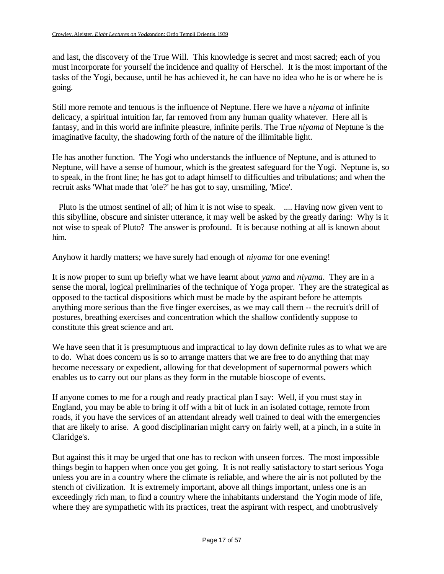and last, the discovery of the True Will. This knowledge is secret and most sacred; each of you must incorporate for yourself the incidence and quality of Herschel. It is the most important of the tasks of the Yogi, because, until he has achieved it, he can have no idea who he is or where he is going.

Still more remote and tenuous is the influence of Neptune. Here we have a *niyama* of infinite delicacy, a spiritual intuition far, far removed from any human quality whatever. Here all is fantasy, and in this world are infinite pleasure, infinite perils. The True *niyama* of Neptune is the imaginative faculty, the shadowing forth of the nature of the illimitable light.

He has another function. The Yogi who understands the influence of Neptune, and is attuned to Neptune, will have a sense of humour, which is the greatest safeguard for the Yogi. Neptune is, so to speak, in the front line; he has got to adapt himself to difficulties and tribulations; and when the recruit asks 'What made that 'ole?' he has got to say, unsmiling, 'Mice'.

Pluto is the utmost sentinel of all; of him it is not wise to speak. ... Having now given vent to this sibylline, obscure and sinister utterance, it may well be asked by the greatly daring: Why is it not wise to speak of Pluto? The answer is profound. It is because nothing at all is known about him.

Anyhow it hardly matters; we have surely had enough of *niyama* for one evening!

It is now proper to sum up briefly what we have learnt about *yama* and *niyama*. They are in a sense the moral, logical preliminaries of the technique of Yoga proper. They are the strategical as opposed to the tactical dispositions which must be made by the aspirant before he attempts anything more serious than the five finger exercises, as we may call them -- the recruit's drill of postures, breathing exercises and concentration which the shallow confidently suppose to constitute this great science and art.

We have seen that it is presumptuous and impractical to lay down definite rules as to what we are to do. What does concern us is so to arrange matters that we are free to do anything that may become necessary or expedient, allowing for that development of supernormal powers which enables us to carry out our plans as they form in the mutable bioscope of events.

If anyone comes to me for a rough and ready practical plan I say: Well, if you must stay in England, you may be able to bring it off with a bit of luck in an isolated cottage, remote from roads, if you have the services of an attendant already well trained to deal with the emergencies that are likely to arise. A good disciplinarian might carry on fairly well, at a pinch, in a suite in Claridge's.

But against this it may be urged that one has to reckon with unseen forces. The most impossible things begin to happen when once you get going. It is not really satisfactory to start serious Yoga unless you are in a country where the climate is reliable, and where the air is not polluted by the stench of civilization. It is extremely important, above all things important, unless one is an exceedingly rich man, to find a country where the inhabitants understand the Yogin mode of life, where they are sympathetic with its practices, treat the aspirant with respect, and unobtrusively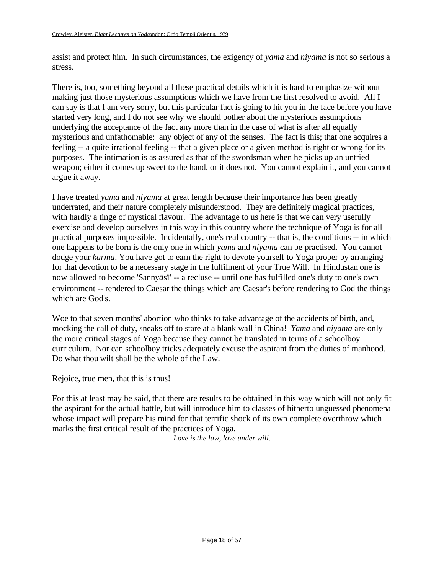assist and protect him. In such circumstances, the exigency of *yama* and *niyama* is not so serious a stress.

There is, too, something beyond all these practical details which it is hard to emphasize without making just those mysterious assumptions which we have from the first resolved to avoid. All I can say is that I am very sorry, but this particular fact is going to hit you in the face before you have started very long, and I do not see why we should bother about the mysterious assumptions underlying the acceptance of the fact any more than in the case of what is after all equally mysterious and unfathomable: any object of any of the senses. The fact is this; that one acquires a feeling -- a quite irrational feeling -- that a given place or a given method is right or wrong for its purposes. The intimation is as assured as that of the swordsman when he picks up an untried weapon; either it comes up sweet to the hand, or it does not. You cannot explain it, and you cannot argue it away.

I have treated *yama* and *niyama* at great length because their importance has been greatly underrated, and their nature completely misunderstood. They are definitely magical practices, with hardly a tinge of mystical flavour. The advantage to us here is that we can very usefully exercise and develop ourselves in this way in this country where the technique of Yoga is for all practical purposes impossible. Incidentally, one's real country -- that is, the conditions -- in which one happens to be born is the only one in which *yama* and *niyama* can be practised. You cannot dodge your *karma*. You have got to earn the right to devote yourself to Yoga proper by arranging for that devotion to be a necessary stage in the fulfilment of your True Will. In Hindustan one is now allowed to become 'Sanny*a¤*sï' -- a recluse -- until one has fulfilled one's duty to one's own environment -- rendered to Caesar the things which are Caesar's before rendering to God the things which are God's.

Woe to that seven months' abortion who thinks to take advantage of the accidents of birth, and, mocking the call of duty, sneaks off to stare at a blank wall in China! *Yama* and *niyama* are only the more critical stages of Yoga because they cannot be translated in terms of a schoolboy curriculum. Nor can schoolboy tricks adequately excuse the aspirant from the duties of manhood. Do what thou wilt shall be the whole of the Law.

Rejoice, true men, that this is thus!

For this at least may be said, that there are results to be obtained in this way which will not only fit the aspirant for the actual battle, but will introduce him to classes of hitherto unguessed phenomena whose impact will prepare his mind for that terrific shock of its own complete overthrow which marks the first critical result of the practices of Yoga.

*Love is the law, love under will*.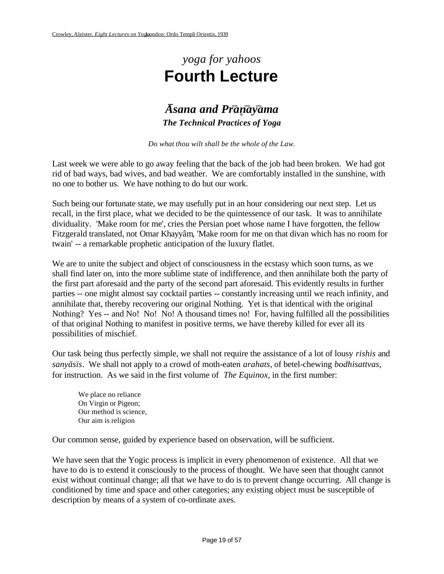## *yoga for yahoos* **Fourth Lecture**

## *A¤sana and Pra¤n²a¤ya¤ma The Technical Practices of Yoga*

*Do what thou wilt shall be the whole of the Law.*

Last week we were able to go away feeling that the back of the job had been broken. We had got rid of bad ways, bad wives, and bad weather. We are comfortably installed in the sunshine, with no one to bother us. We have nothing to do but our work.

Such being our fortunate state, we may usefully put in an hour considering our next step. Let us recall, in the first place, what we decided to be the quintessence of our task. It was to annihilate dividuality. 'Make room for me', cries the Persian poet whose name I have forgotten, the fellow Fitzgerald translated, not Omar Khayyâm, 'Make room for me on that divan which has no room for twain' -- a remarkable prophetic anticipation of the luxury flatlet.

We are to unite the subject and object of consciousness in the ecstasy which soon turns, as we shall find later on, into the more sublime state of indifference, and then annihilate both the party of the first part aforesaid and the party of the second part aforesaid. This evidently results in further parties -- one might almost say cocktail parties -- constantly increasing until we reach infinity, and annihilate that, thereby recovering our original Nothing. Yet is that identical with the original Nothing? Yes -- and No! No! No! A thousand times no! For, having fulfilled all the possibilities of that original Nothing to manifest in positive terms, we have thereby killed for ever all its possibilities of mischief.

Our task being thus perfectly simple, we shall not require the assistance of a lot of lousy *rishis* and *sanya¤sïs*. We shall not apply to a crowd of moth-eaten *arahats*, of betel-chewing *bodhisattvas*, for instruction. As we said in the first volume of *The Equinox*, in the first number:

We place no reliance On Virgin or Pigeon; Our method is science, Our aim is religion

Our common sense, guided by experience based on observation, will be sufficient.

We have seen that the Yogic process is implicit in every phenomenon of existence. All that we have to do is to extend it consciously to the process of thought. We have seen that thought cannot exist without continual change; all that we have to do is to prevent change occurring. All change is conditioned by time and space and other categories; any existing object must be susceptible of description by means of a system of co-ordinate axes.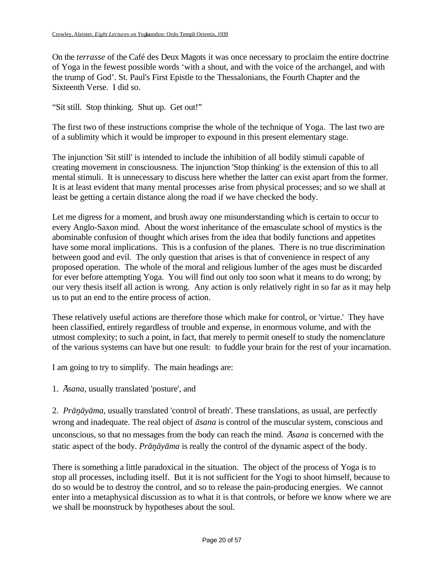On the *terrasse* of the Café des Deux Magots it was once necessary to proclaim the entire doctrine of Yoga in the fewest possible words 'with a shout, and with the voice of the archangel, and with the trump of God'. St. Paul's First Epistle to the Thessalonians, the Fourth Chapter and the Sixteenth Verse. I did so.

"Sit still. Stop thinking. Shut up. Get out!"

The first two of these instructions comprise the whole of the technique of Yoga. The last two are of a sublimity which it would be improper to expound in this present elementary stage.

The injunction 'Sit still' is intended to include the inhibition of all bodily stimuli capable of creating movement in consciousness. The injunction 'Stop thinking' is the extension of this to all mental stimuli. It is unnecessary to discuss here whether the latter can exist apart from the former. It is at least evident that many mental processes arise from physical processes; and so we shall at least be getting a certain distance along the road if we have checked the body.

Let me digress for a moment, and brush away one misunderstanding which is certain to occur to every Anglo-Saxon mind. About the worst inheritance of the emasculate school of mystics is the abominable confusion of thought which arises from the idea that bodily functions and appetites have some moral implications. This is a confusion of the planes. There is no true discrimination between good and evil. The only question that arises is that of convenience in respect of any proposed operation. The whole of the moral and religious lumber of the ages must be discarded for ever before attempting Yoga. You will find out only too soon what it means to do wrong; by our very thesis itself all action is wrong. Any action is only relatively right in so far as it may help us to put an end to the entire process of action.

These relatively useful actions are therefore those which make for control, or 'virtue.' They have been classified, entirely regardless of trouble and expense, in enormous volume, and with the utmost complexity; to such a point, in fact, that merely to permit oneself to study the nomenclature of the various systems can have but one result: to fuddle your brain for the rest of your incarnation.

I am going to try to simplify. The main headings are:

1. *A¤sana*, usually translated 'posture', and

2. *Prāņāyāma*, usually translated 'control of breath'. These translations, as usual, are perfectly wrong and inadequate. The real object of *āsana* is control of the muscular system, conscious and unconscious, so that no messages from the body can reach the mind. *A¤sana* is concerned with the static aspect of the body. *Pranava is really the control of the dynamic aspect of the body.* 

There is something a little paradoxical in the situation. The object of the process of Yoga is to stop all processes, including itself. But it is not sufficient for the Yogi to shoot himself, because to do so would be to destroy the control, and so to release the pain-producing energies. We cannot enter into a metaphysical discussion as to what it is that controls, or before we know where we are we shall be moonstruck by hypotheses about the soul.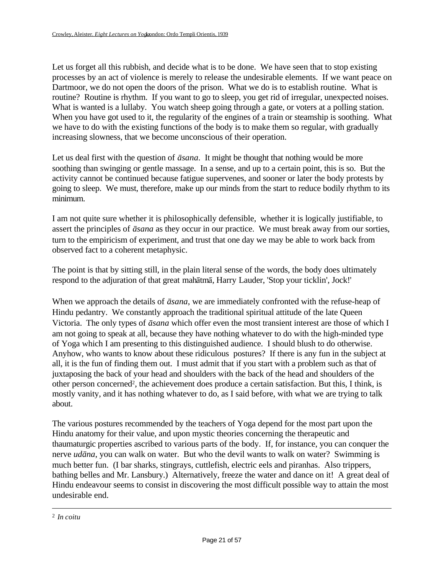Let us forget all this rubbish, and decide what is to be done. We have seen that to stop existing processes by an act of violence is merely to release the undesirable elements. If we want peace on Dartmoor, we do not open the doors of the prison. What we do is to establish routine. What is routine? Routine is rhythm. If you want to go to sleep, you get rid of irregular, unexpected noises. What is wanted is a lullaby. You watch sheep going through a gate, or voters at a polling station. When you have got used to it, the regularity of the engines of a train or steamship is soothing. What we have to do with the existing functions of the body is to make them so regular, with gradually increasing slowness, that we become unconscious of their operation.

Let us deal first with the question of *āsana*. It might be thought that nothing would be more soothing than swinging or gentle massage. In a sense, and up to a certain point, this is so. But the activity cannot be continued because fatigue supervenes, and sooner or later the body protests by going to sleep. We must, therefore, make up our minds from the start to reduce bodily rhythm to its minimum.

I am not quite sure whether it is philosophically defensible, whether it is logically justifiable, to assert the principles of  $\bar{a}$ *sana* as they occur in our practice. We must break away from our sorties, turn to the empiricism of experiment, and trust that one day we may be able to work back from observed fact to a coherent metaphysic.

The point is that by sitting still, in the plain literal sense of the words, the body does ultimately respond to the adjuration of that great maha*¤*tma*¤*, Harry Lauder, 'Stop your ticklin', Jock!'

When we approach the details of *āsana*, we are immediately confronted with the refuse-heap of Hindu pedantry. We constantly approach the traditional spiritual attitude of the late Queen Victoria. The only types of *a¤sana* which offer even the most transient interest are those of which I am not going to speak at all, because they have nothing whatever to do with the high-minded type of Yoga which I am presenting to this distinguished audience. I should blush to do otherwise. Anyhow, who wants to know about these ridiculous postures? If there is any fun in the subject at all, it is the fun of finding them out. I must admit that if you start with a problem such as that of juxtaposing the back of your head and shoulders with the back of the head and shoulders of the other person concerned<sup>2</sup>, the achievement does produce a certain satisfaction. But this, I think, is mostly vanity, and it has nothing whatever to do, as I said before, with what we are trying to talk about.

The various postures recommended by the teachers of Yoga depend for the most part upon the Hindu anatomy for their value, and upon mystic theories concerning the therapeutic and thaumaturgic properties ascribed to various parts of the body. If, for instance, you can conquer the nerve *udana*, you can walk on water. But who the devil wants to walk on water? Swimming is much better fun. (I bar sharks, stingrays, cuttlefish, electric eels and piranhas. Also trippers, bathing belles and Mr. Lansbury.) Alternatively, freeze the water and dance on it! A great deal of Hindu endeavour seems to consist in discovering the most difficult possible way to attain the most undesirable end.

<sup>2</sup> *In coitu*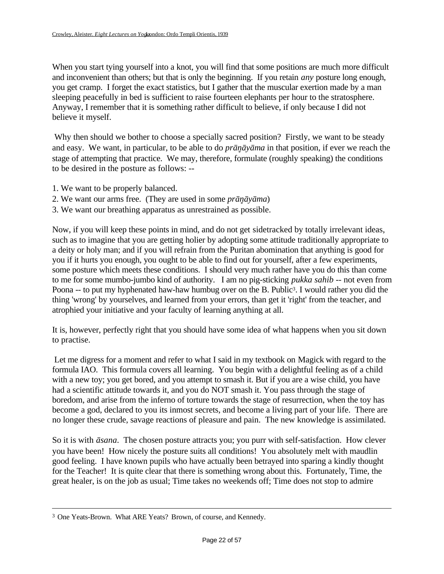When you start tying yourself into a knot, you will find that some positions are much more difficult and inconvenient than others; but that is only the beginning. If you retain *any* posture long enough, you get cramp. I forget the exact statistics, but I gather that the muscular exertion made by a man sleeping peacefully in bed is sufficient to raise fourteen elephants per hour to the stratosphere. Anyway, I remember that it is something rather difficult to believe, if only because I did not believe it myself.

Why then should we bother to choose a specially sacred position? Firstly, we want to be steady and easy. We want, in particular, to be able to do *prāņā yāma* in that position, if ever we reach the stage of attempting that practice. We may, therefore, formulate (roughly speaking) the conditions to be desired in the posture as follows: --

- 1. We want to be properly balanced.
- 2. We want our arms free. (They are used in some *pra¤n²a¤ya¤ma*)
- 3. We want our breathing apparatus as unrestrained as possible.

Now, if you will keep these points in mind, and do not get sidetracked by totally irrelevant ideas, such as to imagine that you are getting holier by adopting some attitude traditionally appropriate to a deity or holy man; and if you will refrain from the Puritan abomination that anything is good for you if it hurts you enough, you ought to be able to find out for yourself, after a few experiments, some posture which meets these conditions. I should very much rather have you do this than come to me for some mumbo-jumbo kind of authority. I am no pig-sticking *pukka sahib* -- not even from Poona -- to put my hyphenated haw-haw humbug over on the B. Public<sup>3</sup>. I would rather you did the thing 'wrong' by yourselves, and learned from your errors, than get it 'right' from the teacher, and atrophied your initiative and your faculty of learning anything at all.

It is, however, perfectly right that you should have some idea of what happens when you sit down to practise.

 Let me digress for a moment and refer to what I said in my textbook on Magick with regard to the formula IAO. This formula covers all learning. You begin with a delightful feeling as of a child with a new toy; you get bored, and you attempt to smash it. But if you are a wise child, you have had a scientific attitude towards it, and you do NOT smash it. You pass through the stage of boredom, and arise from the inferno of torture towards the stage of resurrection, when the toy has become a god, declared to you its inmost secrets, and become a living part of your life. There are no longer these crude, savage reactions of pleasure and pain. The new knowledge is assimilated.

So it is with *a¤sana*. The chosen posture attracts you; you purr with self-satisfaction. How clever you have been! How nicely the posture suits all conditions! You absolutely melt with maudlin good feeling. I have known pupils who have actually been betrayed into sparing a kindly thought for the Teacher! It is quite clear that there is something wrong about this. Fortunately, Time, the great healer, is on the job as usual; Time takes no weekends off; Time does not stop to admire

<sup>3</sup> One Yeats-Brown. What ARE Yeats? Brown, of course, and Kennedy.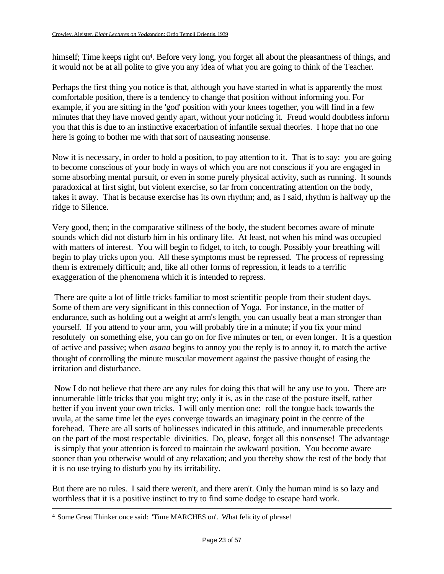himself; Time keeps right on<sup>4</sup>. Before very long, you forget all about the pleasantness of things, and it would not be at all polite to give you any idea of what you are going to think of the Teacher.

Perhaps the first thing you notice is that, although you have started in what is apparently the most comfortable position, there is a tendency to change that position without informing you. For example, if you are sitting in the 'god' position with your knees together, you will find in a few minutes that they have moved gently apart, without your noticing it. Freud would doubtless inform you that this is due to an instinctive exacerbation of infantile sexual theories. I hope that no one here is going to bother me with that sort of nauseating nonsense.

Now it is necessary, in order to hold a position, to pay attention to it. That is to say: you are going to become conscious of your body in ways of which you are not conscious if you are engaged in some absorbing mental pursuit, or even in some purely physical activity, such as running. It sounds paradoxical at first sight, but violent exercise, so far from concentrating attention on the body, takes it away. That is because exercise has its own rhythm; and, as I said, rhythm is halfway up the ridge to Silence.

Very good, then; in the comparative stillness of the body, the student becomes aware of minute sounds which did not disturb him in his ordinary life. At least, not when his mind was occupied with matters of interest. You will begin to fidget, to itch, to cough. Possibly your breathing will begin to play tricks upon you. All these symptoms must be repressed. The process of repressing them is extremely difficult; and, like all other forms of repression, it leads to a terrific exaggeration of the phenomena which it is intended to repress.

 There are quite a lot of little tricks familiar to most scientific people from their student days. Some of them are very significant in this connection of Yoga. For instance, in the matter of endurance, such as holding out a weight at arm's length, you can usually beat a man stronger than yourself. If you attend to your arm, you will probably tire in a minute; if you fix your mind resolutely on something else, you can go on for five minutes or ten, or even longer. It is a question of active and passive; when *a¤sana* begins to annoy you the reply is to annoy it, to match the active thought of controlling the minute muscular movement against the passive thought of easing the irritation and disturbance.

 Now I do not believe that there are any rules for doing this that will be any use to you. There are innumerable little tricks that you might try; only it is, as in the case of the posture itself, rather better if you invent your own tricks. I will only mention one: roll the tongue back towards the uvula, at the same time let the eyes converge towards an imaginary point in the centre of the forehead. There are all sorts of holinesses indicated in this attitude, and innumerable precedents on the part of the most respectable divinities. Do, please, forget all this nonsense! The advantage is simply that your attention is forced to maintain the awkward position. You become aware sooner than you otherwise would of any relaxation; and you thereby show the rest of the body that it is no use trying to disturb you by its irritability.

But there are no rules. I said there weren't, and there aren't. Only the human mind is so lazy and worthless that it is a positive instinct to try to find some dodge to escape hard work.

<sup>4</sup> Some Great Thinker once said: 'Time MARCHES on'. What felicity of phrase!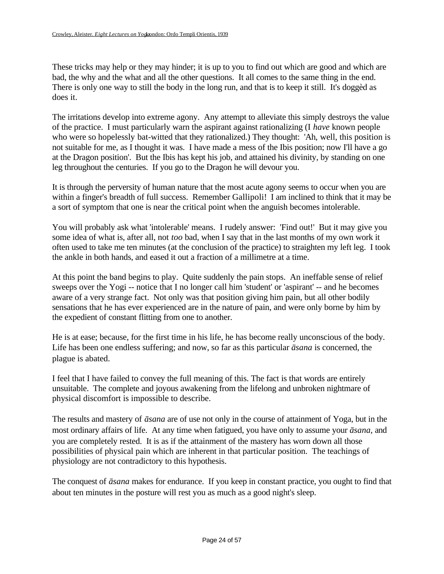These tricks may help or they may hinder; it is up to you to find out which are good and which are bad, the why and the what and all the other questions. It all comes to the same thing in the end. There is only one way to still the body in the long run, and that is to keep it still. It's doggèd as does it.

The irritations develop into extreme agony. Any attempt to alleviate this simply destroys the value of the practice. I must particularly warn the aspirant against rationalizing (I *have* known people who were so hopelessly bat-witted that they rationalized.) They thought: 'Ah, well, this position is not suitable for me, as I thought it was. I have made a mess of the Ibis position; now I'll have a go at the Dragon position'. But the Ibis has kept his job, and attained his divinity, by standing on one leg throughout the centuries. If you go to the Dragon he will devour you.

It is through the perversity of human nature that the most acute agony seems to occur when you are within a finger's breadth of full success. Remember Gallipoli! I am inclined to think that it may be a sort of symptom that one is near the critical point when the anguish becomes intolerable.

You will probably ask what 'intolerable' means. I rudely answer: 'Find out!' But it may give you some idea of what is, after all, not *too* bad, when I say that in the last months of my own work it often used to take me ten minutes (at the conclusion of the practice) to straighten my left leg. I took the ankle in both hands, and eased it out a fraction of a millimetre at a time.

At this point the band begins to play. Quite suddenly the pain stops. An ineffable sense of relief sweeps over the Yogi -- notice that I no longer call him 'student' or 'aspirant' -- and he becomes aware of a very strange fact. Not only was that position giving him pain, but all other bodily sensations that he has ever experienced are in the nature of pain, and were only borne by him by the expedient of constant flitting from one to another.

He is at ease; because, for the first time in his life, he has become really unconscious of the body. Life has been one endless suffering; and now, so far as this particular  $\bar{a}$ *sana* is concerned, the plague is abated.

I feel that I have failed to convey the full meaning of this. The fact is that words are entirely unsuitable. The complete and joyous awakening from the lifelong and unbroken nightmare of physical discomfort is impossible to describe.

The results and mastery of *a¤sana* are of use not only in the course of attainment of Yoga, but in the most ordinary affairs of life. At any time when fatigued, you have only to assume your *a¤sana*, and you are completely rested. It is as if the attainment of the mastery has worn down all those possibilities of physical pain which are inherent in that particular position. The teachings of physiology are not contradictory to this hypothesis.

The conquest of *a¤sana* makes for endurance. If you keep in constant practice, you ought to find that about ten minutes in the posture will rest you as much as a good night's sleep.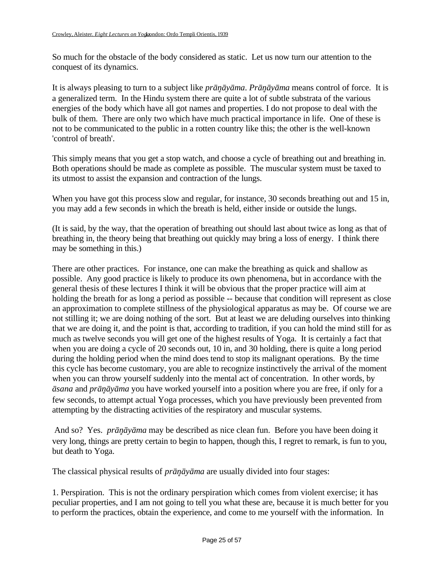So much for the obstacle of the body considered as static. Let us now turn our attention to the conquest of its dynamics.

It is always pleasing to turn to a subject like *prānāyāma. Prānāyāma* means control of force. It is a generalized term. In the Hindu system there are quite a lot of subtle substrata of the various energies of the body which have all got names and properties. I do not propose to deal with the bulk of them. There are only two which have much practical importance in life. One of these is not to be communicated to the public in a rotten country like this; the other is the well-known 'control of breath'.

This simply means that you get a stop watch, and choose a cycle of breathing out and breathing in. Both operations should be made as complete as possible. The muscular system must be taxed to its utmost to assist the expansion and contraction of the lungs.

When you have got this process slow and regular, for instance, 30 seconds breathing out and 15 in, you may add a few seconds in which the breath is held, either inside or outside the lungs.

(It is said, by the way, that the operation of breathing out should last about twice as long as that of breathing in, the theory being that breathing out quickly may bring a loss of energy. I think there may be something in this.)

There are other practices. For instance, one can make the breathing as quick and shallow as possible. Any good practice is likely to produce its own phenomena, but in accordance with the general thesis of these lectures I think it will be obvious that the proper practice will aim at holding the breath for as long a period as possible -- because that condition will represent as close an approximation to complete stillness of the physiological apparatus as may be. Of course we are not stilling it; we are doing nothing of the sort. But at least we are deluding ourselves into thinking that we are doing it, and the point is that, according to tradition, if you can hold the mind still for as much as twelve seconds you will get one of the highest results of Yoga. It is certainly a fact that when you are doing a cycle of 20 seconds out, 10 in, and 30 holding, there is quite a long period during the holding period when the mind does tend to stop its malignant operations. By the time this cycle has become customary, you are able to recognize instinctively the arrival of the moment when you can throw yourself suddenly into the mental act of concentration. In other words, by *a¤sana* and *pra¤n²a¤ya¤ma* you have worked yourself into a position where you are free, if only for a few seconds, to attempt actual Yoga processes, which you have previously been prevented from attempting by the distracting activities of the respiratory and muscular systems.

And so? Yes. *prāņāyāma* may be described as nice clean fun. Before you have been doing it very long, things are pretty certain to begin to happen, though this, I regret to remark, is fun to you, but death to Yoga.

The classical physical results of *prāņā yāma* are usually divided into four stages:

1. Perspiration. This is not the ordinary perspiration which comes from violent exercise; it has peculiar properties, and I am not going to tell you what these are, because it is much better for you to perform the practices, obtain the experience, and come to me yourself with the information. In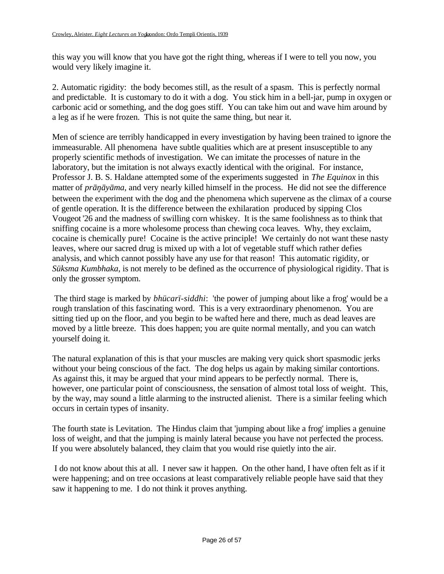this way you will know that you have got the right thing, whereas if I were to tell you now, you would very likely imagine it.

2. Automatic rigidity: the body becomes still, as the result of a spasm. This is perfectly normal and predictable. It is customary to do it with a dog. You stick him in a bell-jar, pump in oxygen or carbonic acid or something, and the dog goes stiff. You can take him out and wave him around by a leg as if he were frozen. This is not quite the same thing, but near it.

Men of science are terribly handicapped in every investigation by having been trained to ignore the immeasurable. All phenomena have subtle qualities which are at present insusceptible to any properly scientific methods of investigation. We can imitate the processes of nature in the laboratory, but the imitation is not always exactly identical with the original. For instance, Professor J. B. S. Haldane attempted some of the experiments suggested in *The Equinox* in this matter of *prāņāyāma*, and very nearly killed himself in the process. He did not see the difference between the experiment with the dog and the phenomena which supervene as the climax of a course of gentle operation. It is the difference between the exhilaration produced by sipping Clos Vougeot '26 and the madness of swilling corn whiskey. It is the same foolishness as to think that sniffing cocaine is a more wholesome process than chewing coca leaves. Why, they exclaim, cocaine is chemically pure! Cocaine is the active principle! We certainly do not want these nasty leaves, where our sacred drug is mixed up with a lot of vegetable stuff which rather defies analysis, and which cannot possibly have any use for that reason! This automatic rigidity, or *Süksma Kumbhaka*, is not merely to be defined as the occurrence of physiological rigidity. That is only the grosser symptom.

 The third stage is marked by *bhücarï-siddhi*: 'the power of jumping about like a frog' would be a rough translation of this fascinating word. This is a very extraordinary phenomenon. You are sitting tied up on the floor, and you begin to be wafted here and there, much as dead leaves are moved by a little breeze. This does happen; you are quite normal mentally, and you can watch yourself doing it.

The natural explanation of this is that your muscles are making very quick short spasmodic jerks without your being conscious of the fact. The dog helps us again by making similar contortions. As against this, it may be argued that your mind appears to be perfectly normal. There is, however, one particular point of consciousness, the sensation of almost total loss of weight. This, by the way, may sound a little alarming to the instructed alienist. There is a similar feeling which occurs in certain types of insanity.

The fourth state is Levitation. The Hindus claim that 'jumping about like a frog' implies a genuine loss of weight, and that the jumping is mainly lateral because you have not perfected the process. If you were absolutely balanced, they claim that you would rise quietly into the air.

 I do not know about this at all. I never saw it happen. On the other hand, I have often felt as if it were happening; and on tree occasions at least comparatively reliable people have said that they saw it happening to me. I do not think it proves anything.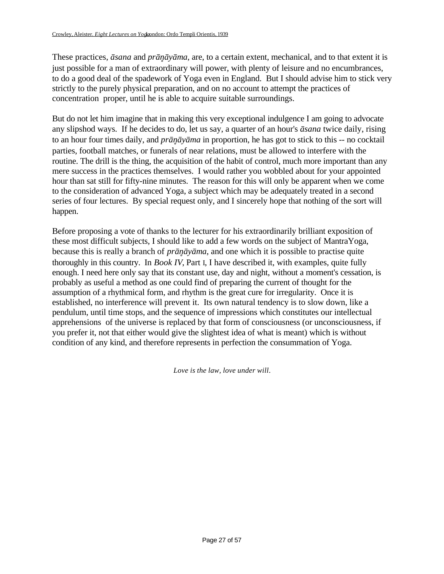These practices, *a¤sana* and *pra¤n²a¤ya¤ma*, are, to a certain extent, mechanical, and to that extent it is just possible for a man of extraordinary will power, with plenty of leisure and no encumbrances, to do a good deal of the spadework of Yoga even in England. But I should advise him to stick very strictly to the purely physical preparation, and on no account to attempt the practices of concentration proper, until he is able to acquire suitable surroundings.

But do not let him imagine that in making this very exceptional indulgence I am going to advocate any slipshod ways. If he decides to do, let us say, a quarter of an hour's *a¤sana* twice daily, rising to an hour four times daily, and *pra¤n²a¤ya¤ma* in proportion, he has got to stick to this -- no cocktail parties, football matches, or funerals of near relations, must be allowed to interfere with the routine. The drill is the thing, the acquisition of the habit of control, much more important than any mere success in the practices themselves. I would rather you wobbled about for your appointed hour than sat still for fifty-nine minutes. The reason for this will only be apparent when we come to the consideration of advanced Yoga, a subject which may be adequately treated in a second series of four lectures. By special request only, and I sincerely hope that nothing of the sort will happen.

Before proposing a vote of thanks to the lecturer for his extraordinarily brilliant exposition of these most difficult subjects, I should like to add a few words on the subject of MantraYoga, because this is really a branch of *pra¤n²a¤ya¤ma*, and one which it is possible to practise quite thoroughly in this country. In *Book IV*, Part I, I have described it, with examples, quite fully enough. I need here only say that its constant use, day and night, without a moment's cessation, is probably as useful a method as one could find of preparing the current of thought for the assumption of a rhythmical form, and rhythm is the great cure for irregularity. Once it is established, no interference will prevent it. Its own natural tendency is to slow down, like a pendulum, until time stops, and the sequence of impressions which constitutes our intellectual apprehensions of the universe is replaced by that form of consciousness (or unconsciousness, if you prefer it, not that either would give the slightest idea of what is meant) which is without condition of any kind, and therefore represents in perfection the consummation of Yoga.

*Love is the law, love under will*.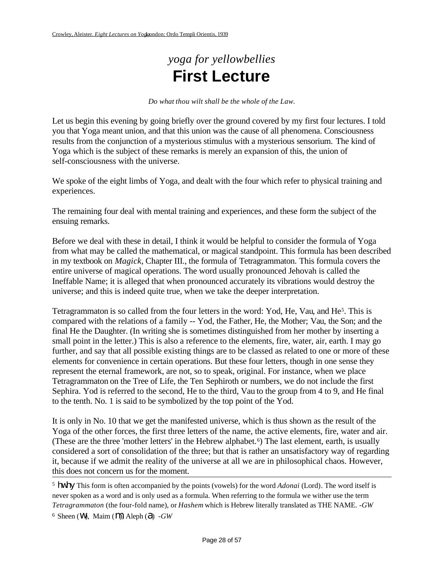# *yoga for yellowbellies* **First Lecture**

*Do what thou wilt shall be the whole of the Law.*

Let us begin this evening by going briefly over the ground covered by my first four lectures. I told you that Yoga meant union, and that this union was the cause of all phenomena. Consciousness results from the conjunction of a mysterious stimulus with a mysterious sensorium. The kind of Yoga which is the subject of these remarks is merely an expansion of this, the union of self-consciousness with the universe.

We spoke of the eight limbs of Yoga, and dealt with the four which refer to physical training and experiences.

The remaining four deal with mental training and experiences, and these form the subject of the ensuing remarks.

Before we deal with these in detail, I think it would be helpful to consider the formula of Yoga from what may be called the mathematical, or magical standpoint. This formula has been described in my textbook on *Magick*, Chapter III., the formula of Tetragrammaton. This formula covers the entire universe of magical operations. The word usually pronounced Jehovah is called the Ineffable Name; it is alleged that when pronounced accurately its vibrations would destroy the universe; and this is indeed quite true, when we take the deeper interpretation.

Tetragrammaton is so called from the four letters in the word: Yod, He, Vau, and He<sup>5</sup>. This is compared with the relations of a family -- Yod, the Father, He, the Mother; Vau, the Son; and the final He the Daughter. (In writing she is sometimes distinguished from her mother by inserting a small point in the letter.) This is also a reference to the elements, fire, water, air, earth. I may go further, and say that all possible existing things are to be classed as related to one or more of these elements for convenience in certain operations. But these four letters, though in one sense they represent the eternal framework, are not, so to speak, original. For instance, when we place Tetragrammaton on the Tree of Life, the Ten Sephiroth or numbers, we do not include the first Sephira. Yod is referred to the second, He to the third, Vau to the group from 4 to 9, and He final to the tenth. No. 1 is said to be symbolized by the top point of the Yod.

It is only in No. 10 that we get the manifested universe, which is thus shown as the result of the Yoga of the other forces, the first three letters of the name, the active elements, fire, water and air. (These are the three 'mother letters' in the Hebrew alphabet.<sup>6</sup>) The last element, earth, is usually considered a sort of consolidation of the three; but that is rather an unsatisfactory way of regarding it, because if we admit the reality of the universe at all we are in philosophical chaos. However, this does not concern us for the moment.

 $6$  Sheen (W), Maim (M), Aleph ( $d$ )  $-GW$ <sup>5</sup> hwhy This form is often accompanied by the points (vowels) for the word *Adonai* (Lord). The word itself is never spoken as a word and is only used as a formula. When referring to the formula we wither use the term *Tetragrammaton* (the four-fold name), or *Hashem* which is Hebrew literally translated as THE NAME. *-GW*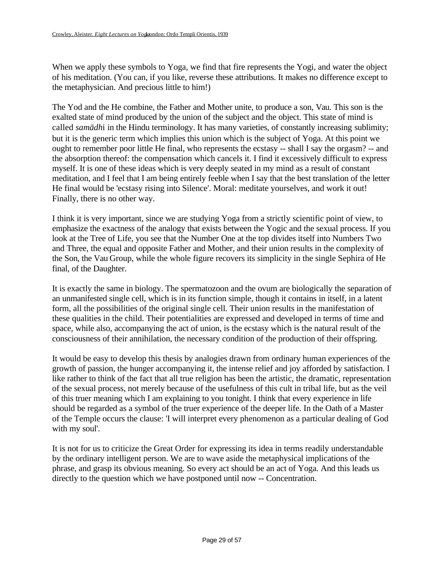When we apply these symbols to Yoga, we find that fire represents the Yogi, and water the object of his meditation. (You can, if you like, reverse these attributions. It makes no difference except to the metaphysician. And precious little to him!)

The Yod and the He combine, the Father and Mother unite, to produce a son, Vau. This son is the exalted state of mind produced by the union of the subject and the object. This state of mind is called *sama¤dh*i in the Hindu terminology. It has many varieties, of constantly increasing sublimity; but it is the generic term which implies this union which is the subject of Yoga. At this point we ought to remember poor little He final, who represents the ecstasy -- shall I say the orgasm? -- and the absorption thereof: the compensation which cancels it. I find it excessively difficult to express myself. It is one of these ideas which is very deeply seated in my mind as a result of constant meditation, and I feel that I am being entirely feeble when I say that the best translation of the letter He final would be 'ecstasy rising into Silence'. Moral: meditate yourselves, and work it out! Finally, there is no other way.

I think it is very important, since we are studying Yoga from a strictly scientific point of view, to emphasize the exactness of the analogy that exists between the Yogic and the sexual process. If you look at the Tree of Life, you see that the Number One at the top divides itself into Numbers Two and Three, the equal and opposite Father and Mother, and their union results in the complexity of the Son, the Vau Group, while the whole figure recovers its simplicity in the single Sephira of He final, of the Daughter.

It is exactly the same in biology. The spermatozoon and the ovum are biologically the separation of an unmanifested single cell, which is in its function simple, though it contains in itself, in a latent form, all the possibilities of the original single cell. Their union results in the manifestation of these qualities in the child. Their potentialities are expressed and developed in terms of time and space, while also, accompanying the act of union, is the ecstasy which is the natural result of the consciousness of their annihilation, the necessary condition of the production of their offspring.

It would be easy to develop this thesis by analogies drawn from ordinary human experiences of the growth of passion, the hunger accompanying it, the intense relief and joy afforded by satisfaction. I like rather to think of the fact that all true religion has been the artistic, the dramatic, representation of the sexual process, not merely because of the usefulness of this cult in tribal life, but as the veil of this truer meaning which I am explaining to you tonight. I think that every experience in life should be regarded as a symbol of the truer experience of the deeper life. In the Oath of a Master of the Temple occurs the clause: 'I will interpret every phenomenon as a particular dealing of God with my soul'.

It is not for us to criticize the Great Order for expressing its idea in terms readily understandable by the ordinary intelligent person. We are to wave aside the metaphysical implications of the phrase, and grasp its obvious meaning. So every act should be an act of Yoga. And this leads us directly to the question which we have postponed until now -- Concentration.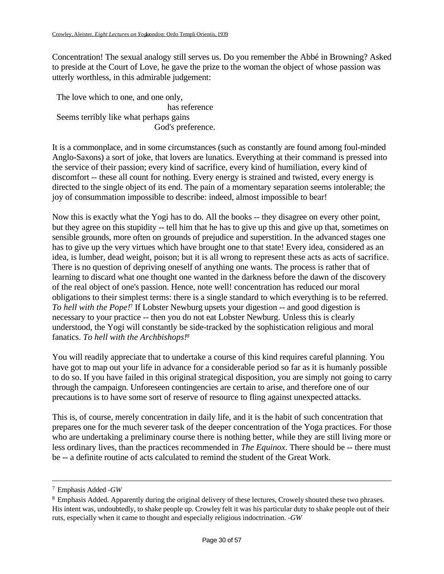Concentration! The sexual analogy still serves us. Do you remember the Abbé in Browning? Asked to preside at the Court of Love, he gave the prize to the woman the object of whose passion was utterly worthless, in this admirable judgement:

 The love which to one, and one only, has reference Seems terribly like what perhaps gains God's preference.

It is a commonplace, and in some circumstances (such as constantly are found among foul-minded Anglo-Saxons) a sort of joke, that lovers are lunatics. Everything at their command is pressed into the service of their passion; every kind of sacrifice, every kind of humiliation, every kind of discomfort -- these all count for nothing. Every energy is strained and twisted, every energy is directed to the single object of its end. The pain of a momentary separation seems intolerable; the joy of consummation impossible to describe: indeed, almost impossible to bear!

Now this is exactly what the Yogi has to do. All the books -- they disagree on every other point, but they agree on this stupidity -- tell him that he has to give up this and give up that, sometimes on sensible grounds, more often on grounds of prejudice and superstition. In the advanced stages one has to give up the very virtues which have brought one to that state! Every idea, considered as an idea, is lumber, dead weight, poison; but it is all wrong to represent these acts as acts of sacrifice. There is no question of depriving oneself of anything one wants. The process is rather that of learning to discard what one thought one wanted in the darkness before the dawn of the discovery of the real object of one's passion. Hence, note well! concentration has reduced our moral obligations to their simplest terms: there is a single standard to which everything is to be referred. *To hell with the Pope!*<sup>7</sup> If Lobster Newburg upsets your digestion -- and good digestion is necessary to your practice -- then you do not eat Lobster Newburg. Unless this is clearly understood, the Yogi will constantly be side-tracked by the sophistication religious and moral fanatics. *To hell with the Archbishops!<sup>8</sup>*

You will readily appreciate that to undertake a course of this kind requires careful planning. You have got to map out your life in advance for a considerable period so far as it is humanly possible to do so. If you have failed in this original strategical disposition, you are simply not going to carry through the campaign. Unforeseen contingencies are certain to arise, and therefore one of our precautions is to have some sort of reserve of resource to fling against unexpected attacks.

This is, of course, merely concentration in daily life, and it is the habit of such concentration that prepares one for the much severer task of the deeper concentration of the Yoga practices. For those who are undertaking a preliminary course there is nothing better, while they are still living more or less ordinary lives, than the practices recommended in *The Equinox*. There should be -- there must be -- a definite routine of acts calculated to remind the student of the Great Work.

<sup>7</sup> Emphasis Added *-GW*

<sup>8</sup> Emphasis Added. Apparently during the original delivery of these lectures, Crowely shouted these two phrases. His intent was, undoubtedly, to shake people up. Crowley felt it was his particular duty to shake people out of their ruts, especially when it came to thought and especially religious indoctrination. *-GW*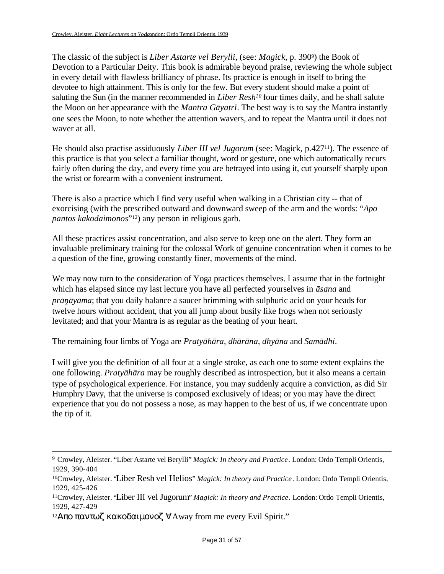The classic of the subject is *Liber Astarte vel Berylli*, (see: *Magick*, p. 390<sup>9</sup> ) the Book of Devotion to a Particular Deity. This book is admirable beyond praise, reviewing the whole subject in every detail with flawless brilliancy of phrase. Its practice is enough in itself to bring the devotee to high attainment. This is only for the few. But every student should make a point of saluting the Sun (in the manner recommended in *Liber Resh10* four times daily, and he shall salute the Moon on her appearance with the *Mantra Ga¤yatrï*. The best way is to say the Mantra instantly one sees the Moon, to note whether the attention wavers, and to repeat the Mantra until it does not waver at all.

He should also practise assiduously *Liber III vel Jugorum* (see: Magick, p.42711). The essence of this practice is that you select a familiar thought, word or gesture, one which automatically recurs fairly often during the day, and every time you are betrayed into using it, cut yourself sharply upon the wrist or forearm with a convenient instrument.

There is also a practice which I find very useful when walking in a Christian city -- that of exorcising (with the prescribed outward and downward sweep of the arm and the words: "*Apo pantos kakodaimonos*" <sup>12</sup>) any person in religious garb.

All these practices assist concentration, and also serve to keep one on the alert. They form an invaluable preliminary training for the colossal Work of genuine concentration when it comes to be a question of the fine, growing constantly finer, movements of the mind.

We may now turn to the consideration of Yoga practices themselves. I assume that in the fortnight which has elapsed since my last lecture you have all perfected yourselves in *a¤sana* and *prāņāyāma*; that you daily balance a saucer brimming with sulphuric acid on your heads for twelve hours without accident, that you all jump about busily like frogs when not seriously levitated; and that your Mantra is as regular as the beating of your heart.

The remaining four limbs of Yoga are *Pratya¤ha¤ra*, *dha¤ra¤na, dhya¤na* and *Sama¤dhi*.

I will give you the definition of all four at a single stroke, as each one to some extent explains the one following. *Pratya¤ha¤ra* may be roughly described as introspection, but it also means a certain type of psychological experience. For instance, you may suddenly acquire a conviction, as did Sir Humphry Davy, that the universe is composed exclusively of ideas; or you may have the direct experience that you do not possess a nose, as may happen to the best of us, if we concentrate upon the tip of it.

<sup>9</sup> Crowley, Aleister. "Liber Astarte vel Berylli" *Magick: In theory and Practice*. London: Ordo Templi Orientis, 1929, 390-404

<sup>10</sup>Crowley, Aleister. "Liber Resh vel Helios" *Magick: In theory and Practice*. London: Ordo Templi Orientis, 1929, 425-426

<sup>11</sup>Crowley, Aleister. "Liber III vel Jugorum" *Magick: In theory and Practice*. London: Ordo Templi Orientis, 1929, 427-429

<sup>12</sup>Απο παντωζ κακοδαιμονοζ ∀Away from me every Evil Spirit."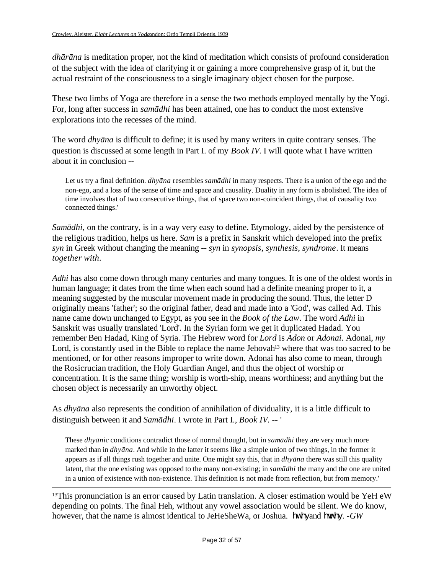*dha¤ra¤na* is meditation proper, not the kind of meditation which consists of profound consideration of the subject with the idea of clarifying it or gaining a more comprehensive grasp of it, but the actual restraint of the consciousness to a single imaginary object chosen for the purpose.

These two limbs of Yoga are therefore in a sense the two methods employed mentally by the Yogi. For, long after success in *sama¤dhi* has been attained, one has to conduct the most extensive explorations into the recesses of the mind.

The word *dhya¤na* is difficult to define; it is used by many writers in quite contrary senses. The question is discussed at some length in Part I. of my *Book IV*. I will quote what I have written about it in conclusion --

Let us try a final definition. *dhyana* resembles *samadhi* in many respects. There is a union of the ego and the non-ego, and a loss of the sense of time and space and causality. Duality in any form is abolished. The idea of time involves that of two consecutive things, that of space two non-coincident things, that of causality two connected things.'

*Sama¤dhi*, on the contrary, is in a way very easy to define. Etymology, aided by the persistence of the religious tradition, helps us here. *Sam* is a prefix in Sanskrit which developed into the prefix *syn* in Greek without changing the meaning -- *syn* in *synopsis*, *synthesis*, *syndrome*. It means *together with*.

*Adhi* has also come down through many centuries and many tongues. It is one of the oldest words in human language; it dates from the time when each sound had a definite meaning proper to it, a meaning suggested by the muscular movement made in producing the sound. Thus, the letter D originally means 'father'; so the original father, dead and made into a 'God', was called Ad. This name came down unchanged to Egypt, as you see in the *Book of the Law*. The word *Adhi* in Sanskrit was usually translated 'Lord'. In the Syrian form we get it duplicated Hadad. You remember Ben Hadad, King of Syria. The Hebrew word for *Lord* is *Adon* or *Adonai*. Adonai, *my* Lord, is constantly used in the Bible to replace the name Jehovah<sup>13</sup> where that was too sacred to be mentioned, or for other reasons improper to write down. Adonai has also come to mean, through the Rosicrucian tradition, the Holy Guardian Angel, and thus the object of worship or concentration. It is the same thing; worship is worth-ship, means worthiness; and anything but the chosen object is necessarily an unworthy object.

As *dhya¤na* also represents the condition of annihilation of dividuality, it is a little difficult to distinguish between it and *Sama¤dhi*. I wrote in Part I., *Book IV*. -- '

These *dhya¤nic* conditions contradict those of normal thought, but in *sama¤dhi* they are very much more marked than in *dhya¤na*. And while in the latter it seems like a simple union of two things, in the former it appears as if all things rush together and unite. One might say this, that in *dhya¤na* there was still this quality latent, that the one existing was opposed to the many non-existing; in *sama¤dhi* the many and the one are united in a union of existence with non-existence. This definition is not made from reflection, but from memory.'

<sup>13</sup>This pronunciation is an error caused by Latin translation. A closer estimation would be YeH eW depending on points. The final Heh, without any vowel association would be silent. We do know, however, that the name is almost identical to JeHeSheWa, or Joshua. hwhy and hvwhy . *-GW*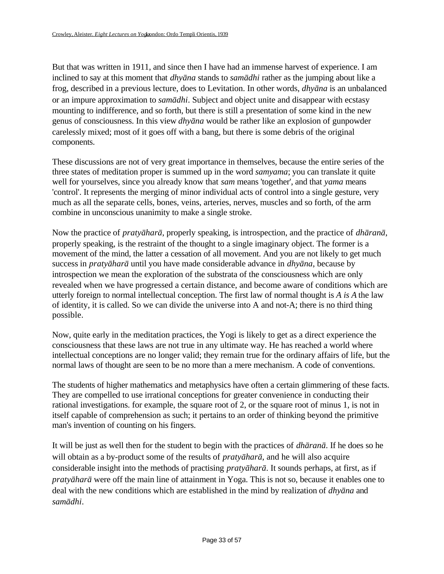But that was written in 1911, and since then I have had an immense harvest of experience. I am inclined to say at this moment that *dhya¤na* stands to *sama¤dhi* rather as the jumping about like a frog, described in a previous lecture, does to Levitation. In other words, *dhya¤na* is an unbalanced or an impure approximation to *sama¤dhi*. Subject and object unite and disappear with ecstasy mounting to indifference, and so forth, but there is still a presentation of some kind in the new genus of consciousness. In this view *dhya¤na* would be rather like an explosion of gunpowder carelessly mixed; most of it goes off with a bang, but there is some debris of the original components.

These discussions are not of very great importance in themselves, because the entire series of the three states of meditation proper is summed up in the word *samyama*; you can translate it quite well for yourselves, since you already know that *sam* means 'together', and that *yama* means 'control'. It represents the merging of minor individual acts of control into a single gesture, very much as all the separate cells, bones, veins, arteries, nerves, muscles and so forth, of the arm combine in unconscious unanimity to make a single stroke.

Now the practice of *pratya¤hara¤*, properly speaking, is introspection, and the practice of *dha¤rana¤*, properly speaking, is the restraint of the thought to a single imaginary object. The former is a movement of the mind, the latter a cessation of all movement. And you are not likely to get much success in *pratya¤hara¤* until you have made considerable advance in *dhya¤na*, because by introspection we mean the exploration of the substrata of the consciousness which are only revealed when we have progressed a certain distance, and become aware of conditions which are utterly foreign to normal intellectual conception. The first law of normal thought is *A is A* the law of identity, it is called. So we can divide the universe into A and not-A; there is no third thing possible.

Now, quite early in the meditation practices, the Yogi is likely to get as a direct experience the consciousness that these laws are not true in any ultimate way. He has reached a world where intellectual conceptions are no longer valid; they remain true for the ordinary affairs of life, but the normal laws of thought are seen to be no more than a mere mechanism. A code of conventions.

The students of higher mathematics and metaphysics have often a certain glimmering of these facts. They are compelled to use irrational conceptions for greater convenience in conducting their rational investigations. for example, the square root of 2, or the square root of minus 1, is not in itself capable of comprehension as such; it pertains to an order of thinking beyond the primitive man's invention of counting on his fingers.

It will be just as well then for the student to begin with the practices of *dha¤rana¤*. If he does so he will obtain as a by-product some of the results of *pratyahara*, and he will also acquire considerable insight into the methods of practising *pratya¤hara¤*. It sounds perhaps, at first, as if *pratyāharā* were off the main line of attainment in Yoga. This is not so, because it enables one to deal with the new conditions which are established in the mind by realization of *dhya¤na* and *sama¤dhi*.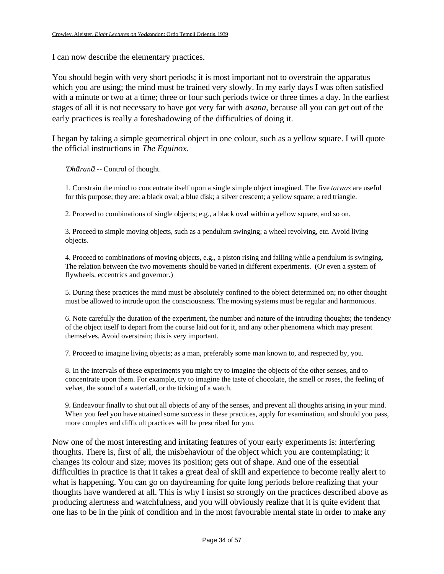I can now describe the elementary practices.

You should begin with very short periods; it is most important not to overstrain the apparatus which you are using; the mind must be trained very slowly. In my early days I was often satisfied with a minute or two at a time; three or four such periods twice or three times a day. In the earliest stages of all it is not necessary to have got very far with *a¤sana*, because all you can get out of the early practices is really a foreshadowing of the difficulties of doing it.

I began by taking a simple geometrical object in one colour, such as a yellow square. I will quote the official instructions in *The Equinox*.

*'Dha¤rana¤* -- Control of thought.

1. Constrain the mind to concentrate itself upon a single simple object imagined. The five *tatwas* are useful for this purpose; they are: a black oval; a blue disk; a silver crescent; a yellow square; a red triangle.

2. Proceed to combinations of single objects; e.g., a black oval within a yellow square, and so on.

3. Proceed to simple moving objects, such as a pendulum swinging; a wheel revolving, etc. Avoid living objects.

4. Proceed to combinations of moving objects, e.g., a piston rising and falling while a pendulum is swinging. The relation between the two movements should be varied in different experiments. (Or even a system of flywheels, eccentrics and governor.)

5. During these practices the mind must be absolutely confined to the object determined on; no other thought must be allowed to intrude upon the consciousness. The moving systems must be regular and harmonious.

6. Note carefully the duration of the experiment, the number and nature of the intruding thoughts; the tendency of the object itself to depart from the course laid out for it, and any other phenomena which may present themselves. Avoid overstrain; this is very important.

7. Proceed to imagine living objects; as a man, preferably some man known to, and respected by, you.

8. In the intervals of these experiments you might try to imagine the objects of the other senses, and to concentrate upon them. For example, try to imagine the taste of chocolate, the smell or roses, the feeling of velvet, the sound of a waterfall, or the ticking of a watch.

9. Endeavour finally to shut out all objects of any of the senses, and prevent all thoughts arising in your mind. When you feel you have attained some success in these practices, apply for examination, and should you pass, more complex and difficult practices will be prescribed for you.

Now one of the most interesting and irritating features of your early experiments is: interfering thoughts. There is, first of all, the misbehaviour of the object which you are contemplating; it changes its colour and size; moves its position; gets out of shape. And one of the essential difficulties in practice is that it takes a great deal of skill and experience to become really alert to what is happening. You can go on daydreaming for quite long periods before realizing that your thoughts have wandered at all. This is why I insist so strongly on the practices described above as producing alertness and watchfulness, and you will obviously realize that it is quite evident that one has to be in the pink of condition and in the most favourable mental state in order to make any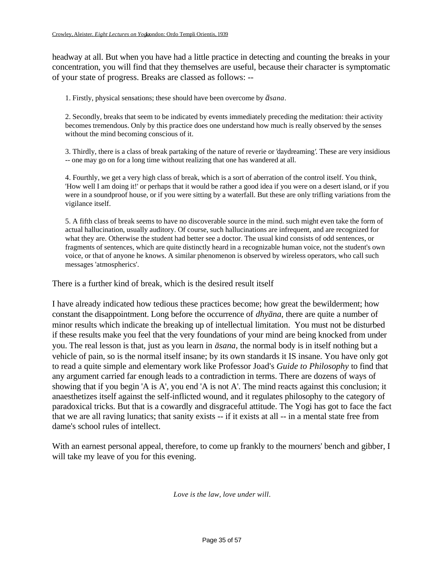headway at all. But when you have had a little practice in detecting and counting the breaks in your concentration, you will find that they themselves are useful, because their character is symptomatic of your state of progress. Breaks are classed as follows: --

1. Firstly, physical sensations; these should have been overcome by  $\bar{a}$ *sana*.

2. Secondly, breaks that seem to be indicated by events immediately preceding the meditation: their activity becomes tremendous. Only by this practice does one understand how much is really observed by the senses without the mind becoming conscious of it.

3. Thirdly, there is a class of break partaking of the nature of reverie or *'*daydreaming*'.* These are very insidious -- one may go on for a long time without realizing that one has wandered at all.

4. Fourthly, we get a very high class of break, which is a sort of aberration of the control itself. You think, 'How well I am doing it!' or perhaps that it would be rather a good idea if you were on a desert island, or if you were in a soundproof house, or if you were sitting by a waterfall. But these are only trifling variations from the vigilance itself.

5. A fifth class of break seems to have no discoverable source in the mind. such might even take the form of actual hallucination, usually auditory. Of course, such hallucinations are infrequent, and are recognized for what they are. Otherwise the student had better see a doctor. The usual kind consists of odd sentences, or fragments of sentences, which are quite distinctly heard in a recognizable human voice, not the student's own voice, or that of anyone he knows. A similar phenomenon is observed by wireless operators, who call such messages 'atmospherics'.

There is a further kind of break, which is the desired result itself

I have already indicated how tedious these practices become; how great the bewilderment; how constant the disappointment. Long before the occurrence of *dhya¤na*, there are quite a number of minor results which indicate the breaking up of intellectual limitation. You must not be disturbed if these results make you feel that the very foundations of your mind are being knocked from under you. The real lesson is that, just as you learn in *a¤sana*, the normal body is in itself nothing but a vehicle of pain, so is the normal itself insane; by its own standards it IS insane. You have only got to read a quite simple and elementary work like Professor Joad's *Guide to Philosophy* to find that any argument carried far enough leads to a contradiction in terms. There are dozens of ways of showing that if you begin 'A is A', you end 'A is not A'. The mind reacts against this conclusion; it anaesthetizes itself against the self-inflicted wound, and it regulates philosophy to the category of paradoxical tricks. But that is a cowardly and disgraceful attitude. The Yogi has got to face the fact that we are all raving lunatics; that sanity exists -- if it exists at all -- in a mental state free from dame's school rules of intellect.

With an earnest personal appeal, therefore, to come up frankly to the mourners' bench and gibber, I will take my leave of you for this evening.

*Love is the law, love under will*.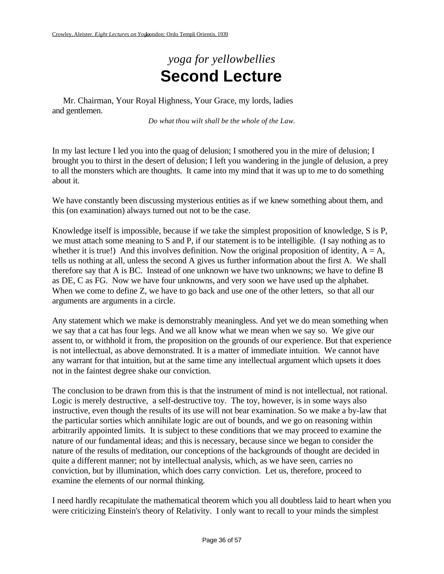# *yoga for yellowbellies* **Second Lecture**

 Mr. Chairman, Your Royal Highness, Your Grace, my lords, ladies and gentlemen.

*Do what thou wilt shall be the whole of the Law.*

In my last lecture I led you into the quag of delusion; I smothered you in the mire of delusion; I brought you to thirst in the desert of delusion; I left you wandering in the jungle of delusion, a prey to all the monsters which are thoughts. It came into my mind that it was up to me to do something about it.

We have constantly been discussing mysterious entities as if we knew something about them, and this (on examination) always turned out not to be the case.

Knowledge itself is impossible, because if we take the simplest proposition of knowledge, S is P, we must attach some meaning to S and P, if our statement is to be intelligible. (I say nothing as to whether it is true!) And this involves definition. Now the original proposition of identity,  $A = A$ , tells us nothing at all, unless the second A gives us further information about the first A. We shall therefore say that A is BC. Instead of one unknown we have two unknowns; we have to define B as DE, C as FG. Now we have four unknowns, and very soon we have used up the alphabet. When we come to define Z, we have to go back and use one of the other letters, so that all our arguments are arguments in a circle.

Any statement which we make is demonstrably meaningless. And yet we do mean something when we say that a cat has four legs. And we all know what we mean when we say so. We give our assent to, or withhold it from, the proposition on the grounds of our experience. But that experience is not intellectual, as above demonstrated. It is a matter of immediate intuition. We cannot have any warrant for that intuition, but at the same time any intellectual argument which upsets it does not in the faintest degree shake our conviction.

The conclusion to be drawn from this is that the instrument of mind is not intellectual, not rational. Logic is merely destructive, a self-destructive toy. The toy, however, is in some ways also instructive, even though the results of its use will not bear examination. So we make a by-law that the particular sorties which annihilate logic are out of bounds, and we go on reasoning within arbitrarily appointed limits. It is subject to these conditions that we may proceed to examine the nature of our fundamental ideas; and this is necessary, because since we began to consider the nature of the results of meditation, our conceptions of the backgrounds of thought are decided in quite a different manner; not by intellectual analysis, which, as we have seen, carries no conviction, but by illumination, which does carry conviction. Let us, therefore, proceed to examine the elements of our normal thinking.

I need hardly recapitulate the mathematical theorem which you all doubtless laid to heart when you were criticizing Einstein's theory of Relativity. I only want to recall to your minds the simplest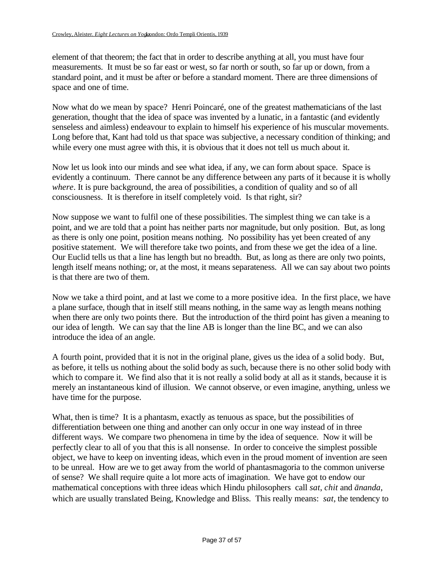element of that theorem; the fact that in order to describe anything at all, you must have four measurements. It must be so far east or west, so far north or south, so far up or down, from a standard point, and it must be after or before a standard moment. There are three dimensions of space and one of time.

Now what do we mean by space? Henri Poincaré, one of the greatest mathematicians of the last generation, thought that the idea of space was invented by a lunatic, in a fantastic (and evidently senseless and aimless) endeavour to explain to himself his experience of his muscular movements. Long before that, Kant had told us that space was subjective, a necessary condition of thinking; and while every one must agree with this, it is obvious that it does not tell us much about it.

Now let us look into our minds and see what idea, if any, we can form about space. Space is evidently a continuum. There cannot be any difference between any parts of it because it is wholly *where*. It is pure background, the area of possibilities, a condition of quality and so of all consciousness. It is therefore in itself completely void. Is that right, sir?

Now suppose we want to fulfil one of these possibilities. The simplest thing we can take is a point, and we are told that a point has neither parts nor magnitude, but only position. But, as long as there is only one point, position means nothing. No possibility has yet been created of any positive statement. We will therefore take two points, and from these we get the idea of a line. Our Euclid tells us that a line has length but no breadth. But, as long as there are only two points, length itself means nothing; or, at the most, it means separateness. All we can say about two points is that there are two of them.

Now we take a third point, and at last we come to a more positive idea. In the first place, we have a plane surface, though that in itself still means nothing, in the same way as length means nothing when there are only two points there. But the introduction of the third point has given a meaning to our idea of length. We can say that the line AB is longer than the line BC, and we can also introduce the idea of an angle.

A fourth point, provided that it is not in the original plane, gives us the idea of a solid body. But, as before, it tells us nothing about the solid body as such, because there is no other solid body with which to compare it. We find also that it is not really a solid body at all as it stands, because it is merely an instantaneous kind of illusion. We cannot observe, or even imagine, anything, unless we have time for the purpose.

What, then is time? It is a phantasm, exactly as tenuous as space, but the possibilities of differentiation between one thing and another can only occur in one way instead of in three different ways. We compare two phenomena in time by the idea of sequence. Now it will be perfectly clear to all of you that this is all nonsense. In order to conceive the simplest possible object, we have to keep on inventing ideas, which even in the proud moment of invention are seen to be unreal. How are we to get away from the world of phantasmagoria to the common universe of sense? We shall require quite a lot more acts of imagination. We have got to endow our mathematical conceptions with three ideas which Hindu philosophers call *sat*, *chit* and *a¤nanda*, which are usually translated Being, Knowledge and Bliss. This really means: *sat*, the tendency to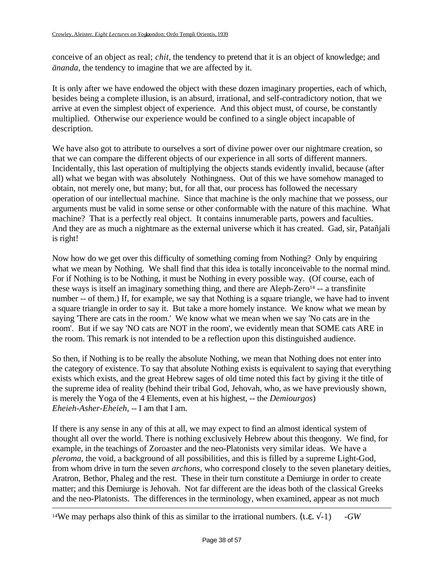conceive of an object as real; *chit*, the tendency to pretend that it is an object of knowledge; and *a¤nanda*, the tendency to imagine that we are affected by it.

It is only after we have endowed the object with these dozen imaginary properties, each of which, besides being a complete illusion, is an absurd, irrational, and self-contradictory notion, that we arrive at even the simplest object of experience. And this object must, of course, be constantly multiplied. Otherwise our experience would be confined to a single object incapable of description.

We have also got to attribute to ourselves a sort of divine power over our nightmare creation, so that we can compare the different objects of our experience in all sorts of different manners. Incidentally, this last operation of multiplying the objects stands evidently invalid, because (after all) what we began with was absolutely Nothingness. Out of this we have somehow managed to obtain, not merely one, but many; but, for all that, our process has followed the necessary operation of our intellectual machine. Since that machine is the only machine that we possess, our arguments must be valid in some sense or other conformable with the nature of this machine. What machine? That is a perfectly real object. It contains innumerable parts, powers and faculties. And they are as much a nightmare as the external universe which it has created. Gad, sir, Patañjali is right!

Now how do we get over this difficulty of something coming from Nothing? Only by enquiring what we mean by Nothing. We shall find that this idea is totally inconceivable to the normal mind. For if Nothing is to be Nothing, it must be Nothing in every possible way. (Of course, each of these ways is itself an imaginary something thing, and there are Aleph-Zero<sup>14</sup> -- a transfinite number -- of them.) If, for example, we say that Nothing is a square triangle, we have had to invent a square triangle in order to say it. But take a more homely instance. We know what we mean by saying 'There are cats in the room.' We know what we mean when we say 'No cats are in the room'. But if we say 'NO cats are NOT in the room', we evidently mean that SOME cats ARE in the room. This remark is not intended to be a reflection upon this distinguished audience.

So then, if Nothing is to be really the absolute Nothing, we mean that Nothing does not enter into the category of existence. To say that absolute Nothing exists is equivalent to saying that everything exists which exists, and the great Hebrew sages of old time noted this fact by giving it the title of the supreme idea of reality (behind their tribal God, Jehovah, who, as we have previously shown, is merely the Yoga of the 4 Elements, even at his highest, -- the *Demiourgos*) *Eheieh-Asher-Eheieh*, -- I am that I am.

If there is any sense in any of this at all, we may expect to find an almost identical system of thought all over the world. There is nothing exclusively Hebrew about this theogony. We find, for example, in the teachings of Zoroaster and the neo-Platonists very similar ideas. We have a *pleroma*, the void, a background of all possibilities, and this is filled by a supreme Light-God, from whom drive in turn the seven *archons*, who correspond closely to the seven planetary deities, Aratron, Bethor, Phaleg and the rest. These in their turn constitute a Demiurge in order to create matter; and this Demiurge is Jehovah. Not far different are the ideas both of the classical Greeks and the neo-Platonists. The differences in the terminology, when examined, appear as not much

<sup>&</sup>lt;sup>14</sup>We may perhaps also think of this as similar to the irrational numbers. (**i.e.**  $\sqrt{-1}$ ) -GW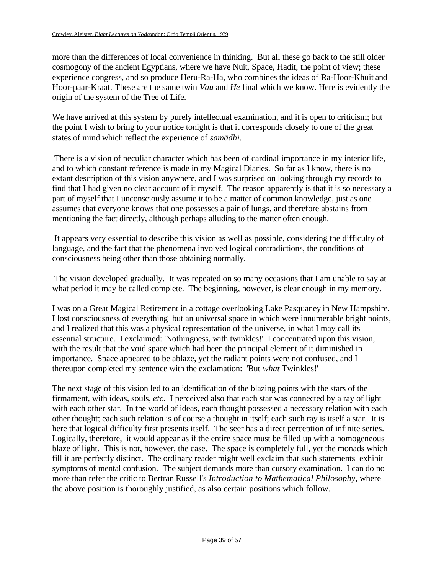more than the differences of local convenience in thinking. But all these go back to the still older cosmogony of the ancient Egyptians, where we have Nuit, Space, Hadit, the point of view; these experience congress, and so produce Heru-Ra-Ha, who combines the ideas of Ra-Hoor-Khuit and Hoor-paar-Kraat. These are the same twin *Vau* and *He* final which we know. Here is evidently the origin of the system of the Tree of Life.

We have arrived at this system by purely intellectual examination, and it is open to criticism; but the point I wish to bring to your notice tonight is that it corresponds closely to one of the great states of mind which reflect the experience of *sama¤dhi*.

 There is a vision of peculiar character which has been of cardinal importance in my interior life, and to which constant reference is made in my Magical Diaries. So far as I know, there is no extant description of this vision anywhere, and I was surprised on looking through my records to find that I had given no clear account of it myself. The reason apparently is that it is so necessary a part of myself that I unconsciously assume it to be a matter of common knowledge, just as one assumes that everyone knows that one possesses a pair of lungs, and therefore abstains from mentioning the fact directly, although perhaps alluding to the matter often enough.

 It appears very essential to describe this vision as well as possible, considering the difficulty of language, and the fact that the phenomena involved logical contradictions, the conditions of consciousness being other than those obtaining normally.

 The vision developed gradually. It was repeated on so many occasions that I am unable to say at what period it may be called complete. The beginning, however, is clear enough in my memory.

I was on a Great Magical Retirement in a cottage overlooking Lake Pasquaney in New Hampshire. I lost consciousness of everything but an universal space in which were innumerable bright points, and I realized that this was a physical representation of the universe, in what I may call its essential structure. I exclaimed: 'Nothingness, with twinkles!' I concentrated upon this vision, with the result that the void space which had been the principal element of it diminished in importance. Space appeared to be ablaze, yet the radiant points were not confused, and I thereupon completed my sentence with the exclamation: 'But *what* Twinkles!'

The next stage of this vision led to an identification of the blazing points with the stars of the firmament, with ideas, souls, *etc*. I perceived also that each star was connected by a ray of light with each other star. In the world of ideas, each thought possessed a necessary relation with each other thought; each such relation is of course a thought in itself; each such ray is itself a star. It is here that logical difficulty first presents itself. The seer has a direct perception of infinite series. Logically, therefore, it would appear as if the entire space must be filled up with a homogeneous blaze of light. This is not, however, the case. The space is completely full, yet the monads which fill it are perfectly distinct. The ordinary reader might well exclaim that such statements exhibit symptoms of mental confusion. The subject demands more than cursory examination. I can do no more than refer the critic to Bertran Russell's *Introduction to Mathematical Philosophy*, where the above position is thoroughly justified, as also certain positions which follow.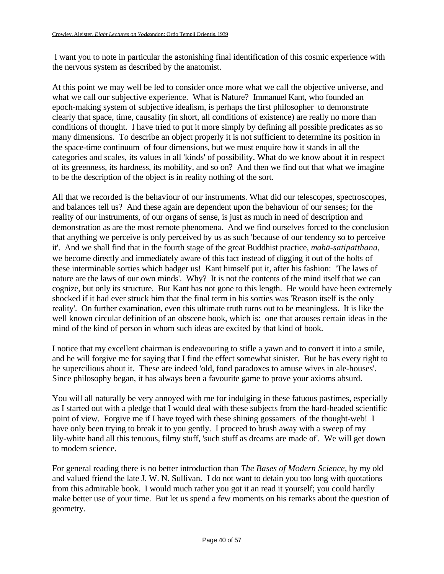I want you to note in particular the astonishing final identification of this cosmic experience with the nervous system as described by the anatomist.

At this point we may well be led to consider once more what we call the objective universe, and what we call our subjective experience. What is Nature? Immanuel Kant, who founded an epoch-making system of subjective idealism, is perhaps the first philosopher to demonstrate clearly that space, time, causality (in short, all conditions of existence) are really no more than conditions of thought. I have tried to put it more simply by defining all possible predicates as so many dimensions. To describe an object properly it is not sufficient to determine its position in the space-time continuum of four dimensions, but we must enquire how it stands in all the categories and scales, its values in all 'kinds' of possibility. What do we know about it in respect of its greenness, its hardness, its mobility, and so on? And then we find out that what we imagine to be the description of the object is in reality nothing of the sort.

All that we recorded is the behaviour of our instruments. What did our telescopes, spectroscopes, and balances tell us? And these again are dependent upon the behaviour of our senses; for the reality of our instruments, of our organs of sense, is just as much in need of description and demonstration as are the most remote phenomena. And we find ourselves forced to the conclusion that anything we perceive is only perceived by us as such 'because of our tendency so to perceive it'. And we shall find that in the fourth stage of the great Buddhist practice, *maha¤-satipatthana*, we become directly and immediately aware of this fact instead of digging it out of the holts of these interminable sorties which badger us! Kant himself put it, after his fashion: 'The laws of nature are the laws of our own minds'. Why? It is not the contents of the mind itself that we can cognize, but only its structure. But Kant has not gone to this length. He would have been extremely shocked if it had ever struck him that the final term in his sorties was 'Reason itself is the only reality'. On further examination, even this ultimate truth turns out to be meaningless. It is like the well known circular definition of an obscene book, which is: one that arouses certain ideas in the mind of the kind of person in whom such ideas are excited by that kind of book.

I notice that my excellent chairman is endeavouring to stifle a yawn and to convert it into a smile, and he will forgive me for saying that I find the effect somewhat sinister. But he has every right to be supercilious about it. These are indeed 'old, fond paradoxes to amuse wives in ale-houses'. Since philosophy began, it has always been a favourite game to prove your axioms absurd.

You will all naturally be very annoyed with me for indulging in these fatuous pastimes, especially as I started out with a pledge that I would deal with these subjects from the hard-headed scientific point of view. Forgive me if I have toyed with these shining gossamers of the thought-web! I have only been trying to break it to you gently. I proceed to brush away with a sweep of my lily-white hand all this tenuous, filmy stuff, 'such stuff as dreams are made of'. We will get down to modern science.

For general reading there is no better introduction than *The Bases of Modern Science*, by my old and valued friend the late J. W. N. Sullivan. I do not want to detain you too long with quotations from this admirable book. I would much rather you got it an read it yourself; you could hardly make better use of your time. But let us spend a few moments on his remarks about the question of geometry.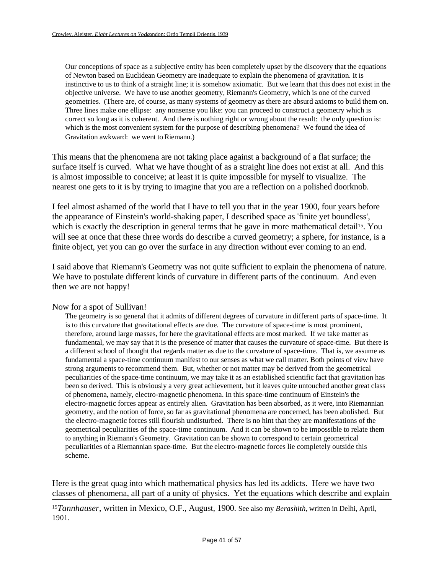Our conceptions of space as a subjective entity has been completely upset by the discovery that the equations of Newton based on Euclidean Geometry are inadequate to explain the phenomena of gravitation. It is instinctive to us to think of a straight line; it is somehow axiomatic. But we learn that this does not exist in the objective universe. We have to use another geometry, Riemann's Geometry, which is one of the curved geometries. (There are, of course, as many systems of geometry as there are absurd axioms to build them on. Three lines make one ellipse: any nonsense you like: you can proceed to construct a geometry which is correct so long as it is coherent. And there is nothing right or wrong about the result: the only question is: which is the most convenient system for the purpose of describing phenomena? We found the idea of Gravitation awkward: we went to Riemann.)

This means that the phenomena are not taking place against a background of a flat surface; the surface itself is curved. What we have thought of as a straight line does not exist at all. And this is almost impossible to conceive; at least it is quite impossible for myself to visualize. The nearest one gets to it is by trying to imagine that you are a reflection on a polished doorknob.

I feel almost ashamed of the world that I have to tell you that in the year 1900, four years before the appearance of Einstein's world-shaking paper, I described space as 'finite yet boundless', which is exactly the description in general terms that he gave in more mathematical detail<sup>15</sup>. You will see at once that these three words do describe a curved geometry; a sphere, for instance, is a finite object, yet you can go over the surface in any direction without ever coming to an end.

I said above that Riemann's Geometry was not quite sufficient to explain the phenomena of nature. We have to postulate different kinds of curvature in different parts of the continuum. And even then we are not happy!

#### Now for a spot of Sullivan!

The geometry is so general that it admits of different degrees of curvature in different parts of space-time. It is to this curvature that gravitational effects are due. The curvature of space-time is most prominent, therefore, around large masses, for here the gravitational effects are most marked. If we take matter as fundamental, we may say that it is the presence of matter that causes the curvature of space-time. But there is a different school of thought that regards matter as due to the curvature of space-time. That is, we assume as fundamental a space-time continuum manifest to our senses as what we call matter. Both points of view have strong arguments to recommend them. But, whether or not matter may be derived from the geometrical peculiarities of the space-time continuum, we may take it as an established scientific fact that gravitation has been so derived. This is obviously a very great achievement, but it leaves quite untouched another great class of phenomena, namely, electro-magnetic phenomena. In this space-time continuum of Einstein's the electro-magnetic forces appear as entirely alien. Gravitation has been absorbed, as it were, into Riemannian geometry, and the notion of force, so far as gravitational phenomena are concerned, has been abolished. But the electro-magnetic forces still flourish undisturbed. There is no hint that they are manifestations of the geometrical peculiarities of the space-time continuum. And it can be shown to be impossible to relate them to anything in Riemann's Geometry. Gravitation can be shown to correspond to certain geometrical peculiarities of a Riemannian space-time. But the electro-magnetic forces lie completely outside this scheme.

Here is the great quag into which mathematical physics has led its addicts. Here we have two classes of phenomena, all part of a unity of physics. Yet the equations which describe and explain

<sup>15</sup>*Tannhauser*, written in Mexico, O.F., August, 1900. See also my *Berashith*, written in Delhi, April, 1901.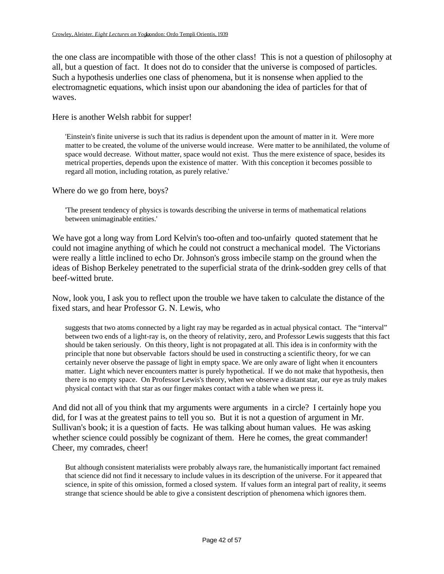the one class are incompatible with those of the other class! This is not a question of philosophy at all, but a question of fact. It does not do to consider that the universe is composed of particles. Such a hypothesis underlies one class of phenomena, but it is nonsense when applied to the electromagnetic equations, which insist upon our abandoning the idea of particles for that of waves.

Here is another Welsh rabbit for supper!

'Einstein's finite universe is such that its radius is dependent upon the amount of matter in it. Were more matter to be created, the volume of the universe would increase. Were matter to be annihilated, the volume of space would decrease. Without matter, space would not exist. Thus the mere existence of space, besides its metrical properties, depends upon the existence of matter. With this conception it becomes possible to regard all motion, including rotation, as purely relative.'

Where do we go from here, boys?

'The present tendency of physics is towards describing the universe in terms of mathematical relations between unimaginable entities.'

We have got a long way from Lord Kelvin's too-often and too-unfairly quoted statement that he could not imagine anything of which he could not construct a mechanical model. The Victorians were really a little inclined to echo Dr. Johnson's gross imbecile stamp on the ground when the ideas of Bishop Berkeley penetrated to the superficial strata of the drink-sodden grey cells of that beef-witted brute.

Now, look you, I ask you to reflect upon the trouble we have taken to calculate the distance of the fixed stars, and hear Professor G. N. Lewis, who

suggests that two atoms connected by a light ray may be regarded as in actual physical contact. The "interval" between two ends of a light-ray is, on the theory of relativity, zero, and Professor Lewis suggests that this fact should be taken seriously. On this theory, light is not propagated at all. This idea is in conformity with the principle that none but observable factors should be used in constructing a scientific theory, for we can certainly never observe the passage of light in empty space. We are only aware of light when it encounters matter. Light which never encounters matter is purely hypothetical. If we do not make that hypothesis, then there is no empty space. On Professor Lewis's theory, when we observe a distant star, our eye as truly makes physical contact with that star as our finger makes contact with a table when we press it.

And did not all of you think that my arguments were arguments in a circle? I certainly hope you did, for I was at the greatest pains to tell you so. But it is not a question of argument in Mr. Sullivan's book; it is a question of facts. He was talking about human values. He was asking whether science could possibly be cognizant of them. Here he comes, the great commander! Cheer, my comrades, cheer!

But although consistent materialists were probably always rare, the humanistically important fact remained that science did not find it necessary to include values in its description of the universe. For it appeared that science, in spite of this omission, formed a closed system. If values form an integral part of reality, it seems strange that science should be able to give a consistent description of phenomena which ignores them.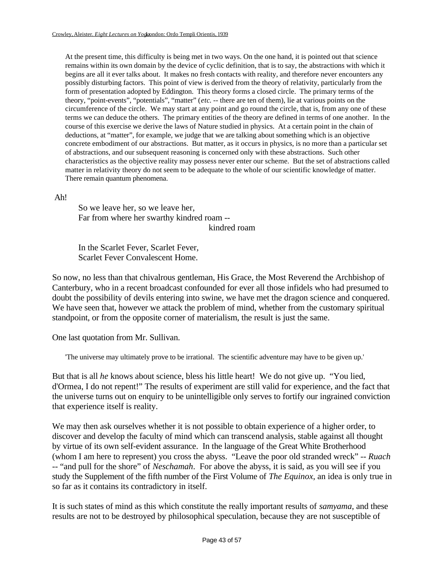At the present time, this difficulty is being met in two ways. On the one hand, it is pointed out that science remains within its own domain by the device of cyclic definition, that is to say, the abstractions with which it begins are all it ever talks about. It makes no fresh contacts with reality, and therefore never encounters any possibly disturbing factors. This point of view is derived from the theory of relativity, particularly from the form of presentation adopted by Eddington. This theory forms a closed circle. The primary terms of the theory, "point-events", "potentials", "matter" (*etc*. -- there are ten of them), lie at various points on the circumference of the circle. We may start at any point and go round the circle, that is, from any one of these terms we can deduce the others. The primary entities of the theory are defined in terms of one another. In the course of this exercise we derive the laws of Nature studied in physics. At a certain point in the chain of deductions, at "matter", for example, we judge that we are talking about something which is an objective concrete embodiment of our abstractions. But matter, as it occurs in physics, is no more than a particular set of abstractions, and our subsequent reasoning is concerned only with these abstractions. Such other characteristics as the objective reality may possess never enter our scheme. But the set of abstractions called matter in relativity theory do not seem to be adequate to the whole of our scientific knowledge of matter. There remain quantum phenomena.

#### Ah!

So we leave her, so we leave her, Far from where her swarthy kindred roam --

kindred roam

In the Scarlet Fever, Scarlet Fever, Scarlet Fever Convalescent Home.

So now, no less than that chivalrous gentleman, His Grace, the Most Reverend the Archbishop of Canterbury, who in a recent broadcast confounded for ever all those infidels who had presumed to doubt the possibility of devils entering into swine, we have met the dragon science and conquered. We have seen that, however we attack the problem of mind, whether from the customary spiritual standpoint, or from the opposite corner of materialism, the result is just the same.

One last quotation from Mr. Sullivan.

'The universe may ultimately prove to be irrational. The scientific adventure may have to be given up.'

But that is all *he* knows about science, bless his little heart! We do not give up. "You lied, d'Ormea, I do not repent!" The results of experiment are still valid for experience, and the fact that the universe turns out on enquiry to be unintelligible only serves to fortify our ingrained conviction that experience itself is reality.

We may then ask ourselves whether it is not possible to obtain experience of a higher order, to discover and develop the faculty of mind which can transcend analysis, stable against all thought by virtue of its own self-evident assurance. In the language of the Great White Brotherhood (whom I am here to represent) you cross the abyss. "Leave the poor old stranded wreck" -- *Ruach* -- "and pull for the shore" of *Neschamah*. For above the abyss, it is said, as you will see if you study the Supplement of the fifth number of the First Volume of *The Equinox*, an idea is only true in so far as it contains its contradictory in itself.

It is such states of mind as this which constitute the really important results of *samyama*, and these results are not to be destroyed by philosophical speculation, because they are not susceptible of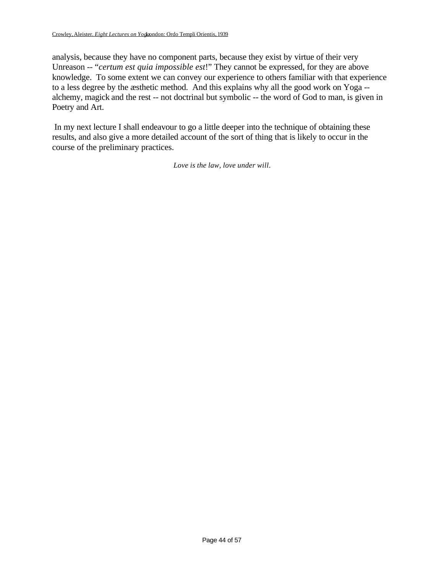analysis, because they have no component parts, because they exist by virtue of their very Unreason -- "*certum est quia impossible est*!" They cannot be expressed, for they are above knowledge. To some extent we can convey our experience to others familiar with that experience to a less degree by the æsthetic method. And this explains why all the good work on Yoga - alchemy, magick and the rest -- not doctrinal but symbolic -- the word of God to man, is given in Poetry and Art.

 In my next lecture I shall endeavour to go a little deeper into the technique of obtaining these results, and also give a more detailed account of the sort of thing that is likely to occur in the course of the preliminary practices.

*Love is the law, love under will*.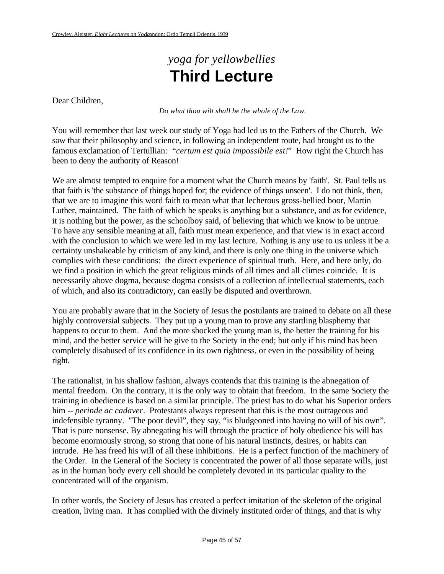# *yoga for yellowbellies* **Third Lecture**

Dear Children,

#### *Do what thou wilt shall be the whole of the Law.*

You will remember that last week our study of Yoga had led us to the Fathers of the Church. We saw that their philosophy and science, in following an independent route, had brought us to the famous exclamation of Tertullian: "*certum est quia impossibile est!*" How right the Church has been to deny the authority of Reason!

We are almost tempted to enquire for a moment what the Church means by 'faith'. St. Paul tells us that faith is 'the substance of things hoped for; the evidence of things unseen'. I do not think, then, that we are to imagine this word faith to mean what that lecherous gross-bellied boor, Martin Luther, maintained. The faith of which he speaks is anything but a substance, and as for evidence, it is nothing but the power, as the schoolboy said, of believing that which we know to be untrue. To have any sensible meaning at all, faith must mean experience, and that view is in exact accord with the conclusion to which we were led in my last lecture. Nothing is any use to us unless it be a certainty unshakeable by criticism of any kind, and there is only one thing in the universe which complies with these conditions: the direct experience of spiritual truth. Here, and here only, do we find a position in which the great religious minds of all times and all climes coincide. It is necessarily above dogma, because dogma consists of a collection of intellectual statements, each of which, and also its contradictory, can easily be disputed and overthrown.

You are probably aware that in the Society of Jesus the postulants are trained to debate on all these highly controversial subjects. They put up a young man to prove any startling blasphemy that happens to occur to them. And the more shocked the young man is, the better the training for his mind, and the better service will he give to the Society in the end; but only if his mind has been completely disabused of its confidence in its own rightness, or even in the possibility of being right.

The rationalist, in his shallow fashion, always contends that this training is the abnegation of mental freedom. On the contrary, it is the only way to obtain that freedom. In the same Society the training in obedience is based on a similar principle. The priest has to do what his Superior orders him -- *perinde ac cadaver*. Protestants always represent that this is the most outrageous and indefensible tyranny. "The poor devil", they say, "is bludgeoned into having no will of his own". That is pure nonsense. By abnegating his will through the practice of holy obedience his will has become enormously strong, so strong that none of his natural instincts, desires, or habits can intrude. He has freed his will of all these inhibitions. He is a perfect function of the machinery of the Order. In the General of the Society is concentrated the power of all those separate wills, just as in the human body every cell should be completely devoted in its particular quality to the concentrated will of the organism.

In other words, the Society of Jesus has created a perfect imitation of the skeleton of the original creation, living man. It has complied with the divinely instituted order of things, and that is why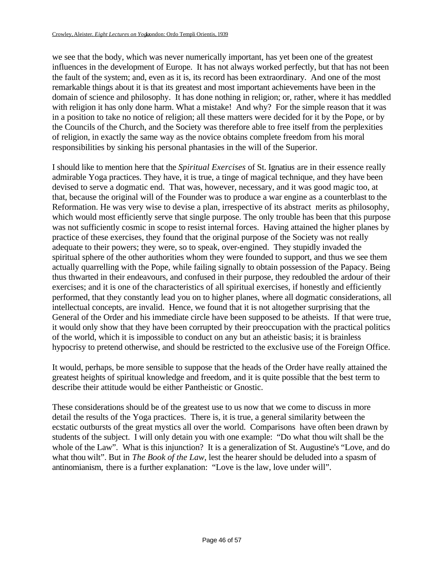we see that the body, which was never numerically important, has yet been one of the greatest influences in the development of Europe. It has not always worked perfectly, but that has not been the fault of the system; and, even as it is, its record has been extraordinary. And one of the most remarkable things about it is that its greatest and most important achievements have been in the domain of science and philosophy. It has done nothing in religion; or, rather, where it has meddled with religion it has only done harm. What a mistake! And why? For the simple reason that it was in a position to take no notice of religion; all these matters were decided for it by the Pope, or by the Councils of the Church, and the Society was therefore able to free itself from the perplexities of religion, in exactly the same way as the novice obtains complete freedom from his moral responsibilities by sinking his personal phantasies in the will of the Superior.

I should like to mention here that the *Spiritual Exercises* of St. Ignatius are in their essence really admirable Yoga practices. They have, it is true, a tinge of magical technique, and they have been devised to serve a dogmatic end. That was, however, necessary, and it was good magic too, at that, because the original will of the Founder was to produce a war engine as a counterblast to the Reformation. He was very wise to devise a plan, irrespective of its abstract merits as philosophy, which would most efficiently serve that single purpose. The only trouble has been that this purpose was not sufficiently cosmic in scope to resist internal forces. Having attained the higher planes by practice of these exercises, they found that the original purpose of the Society was not really adequate to their powers; they were, so to speak, over-engined. They stupidly invaded the spiritual sphere of the other authorities whom they were founded to support, and thus we see them actually quarrelling with the Pope, while failing signally to obtain possession of the Papacy. Being thus thwarted in their endeavours, and confused in their purpose, they redoubled the ardour of their exercises; and it is one of the characteristics of all spiritual exercises, if honestly and efficiently performed, that they constantly lead you on to higher planes, where all dogmatic considerations, all intellectual concepts, are invalid. Hence, we found that it is not altogether surprising that the General of the Order and his immediate circle have been supposed to be atheists. If that were true, it would only show that they have been corrupted by their preoccupation with the practical politics of the world, which it is impossible to conduct on any but an atheistic basis; it is brainless hypocrisy to pretend otherwise, and should be restricted to the exclusive use of the Foreign Office.

It would, perhaps, be more sensible to suppose that the heads of the Order have really attained the greatest heights of spiritual knowledge and freedom, and it is quite possible that the best term to describe their attitude would be either Pantheistic or Gnostic.

These considerations should be of the greatest use to us now that we come to discuss in more detail the results of the Yoga practices. There is, it is true, a general similarity between the ecstatic outbursts of the great mystics all over the world. Comparisons have often been drawn by students of the subject. I will only detain you with one example: "Do what thou wilt shall be the whole of the Law". What is this injunction? It is a generalization of St. Augustine's "Love, and do what thou wilt". But in *The Book of the Law*, lest the hearer should be deluded into a spasm of antinomianism, there is a further explanation: "Love is the law, love under will".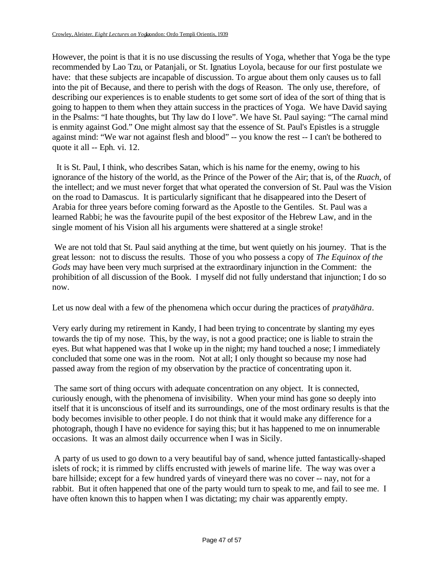However, the point is that it is no use discussing the results of Yoga, whether that Yoga be the type recommended by Lao Tzu, or Patanjali, or St. Ignatius Loyola, because for our first postulate we have: that these subjects are incapable of discussion. To argue about them only causes us to fall into the pit of Because, and there to perish with the dogs of Reason. The only use, therefore, of describing our experiences is to enable students to get some sort of idea of the sort of thing that is going to happen to them when they attain success in the practices of Yoga. We have David saying in the Psalms: "I hate thoughts, but Thy law do I love". We have St. Paul saying: "The carnal mind is enmity against God." One might almost say that the essence of St. Paul's Epistles is a struggle against mind: "We war not against flesh and blood" -- you know the rest -- I can't be bothered to quote it all -- Eph. vi. 12.

 It is St. Paul, I think, who describes Satan, which is his name for the enemy, owing to his ignorance of the history of the world, as the Prince of the Power of the Air; that is, of the *Ruach*, of the intellect; and we must never forget that what operated the conversion of St. Paul was the Vision on the road to Damascus. It is particularly significant that he disappeared into the Desert of Arabia for three years before coming forward as the Apostle to the Gentiles. St. Paul was a learned Rabbi; he was the favourite pupil of the best expositor of the Hebrew Law, and in the single moment of his Vision all his arguments were shattered at a single stroke!

 We are not told that St. Paul said anything at the time, but went quietly on his journey. That is the great lesson: not to discuss the results. Those of you who possess a copy of *The Equinox of the Gods* may have been very much surprised at the extraordinary injunction in the Comment: the prohibition of all discussion of the Book. I myself did not fully understand that injunction; I do so now.

Let us now deal with a few of the phenomena which occur during the practices of *pratyahara*.

Very early during my retirement in Kandy, I had been trying to concentrate by slanting my eyes towards the tip of my nose. This, by the way, is not a good practice; one is liable to strain the eyes. But what happened was that I woke up in the night; my hand touched a nose; I immediately concluded that some one was in the room. Not at all; I only thought so because my nose had passed away from the region of my observation by the practice of concentrating upon it.

 The same sort of thing occurs with adequate concentration on any object. It is connected, curiously enough, with the phenomena of invisibility. When your mind has gone so deeply into itself that it is unconscious of itself and its surroundings, one of the most ordinary results is that the body becomes invisible to other people. I do not think that it would make any difference for a photograph, though I have no evidence for saying this; but it has happened to me on innumerable occasions. It was an almost daily occurrence when I was in Sicily.

 A party of us used to go down to a very beautiful bay of sand, whence jutted fantastically-shaped islets of rock; it is rimmed by cliffs encrusted with jewels of marine life. The way was over a bare hillside; except for a few hundred yards of vineyard there was no cover -- nay, not for a rabbit. But it often happened that one of the party would turn to speak to me, and fail to see me. I have often known this to happen when I was dictating; my chair was apparently empty.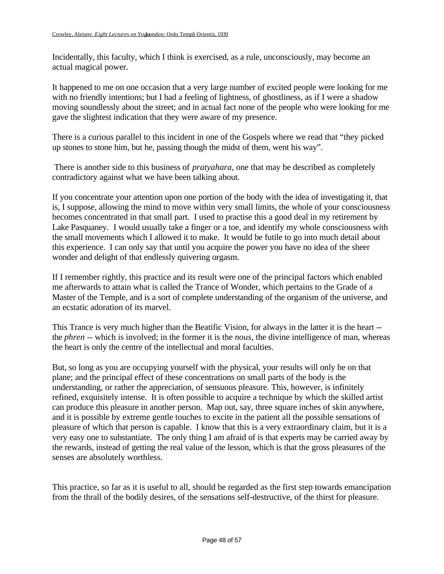Incidentally, this faculty, which I think is exercised, as a rule, unconsciously, may become an actual magical power.

It happened to me on one occasion that a very large number of excited people were looking for me with no friendly intentions; but I had a feeling of lightness, of ghostliness, as if I were a shadow moving soundlessly about the street; and in actual fact none of the people who were looking for me gave the slightest indication that they were aware of my presence.

There is a curious parallel to this incident in one of the Gospels where we read that "they picked up stones to stone him, but he, passing though the midst of them, went his way".

 There is another side to this business of *pratyahara*, one that may be described as completely contradictory against what we have been talking about.

If you concentrate your attention upon one portion of the body with the idea of investigating it, that is, I suppose, allowing the mind to move within very small limits, the whole of your consciousness becomes concentrated in that small part. I used to practise this a good deal in my retirement by Lake Pasquaney. I would usually take a finger or a toe, and identify my whole consciousness with the small movements which I allowed it to make. It would be futile to go into much detail about this experience. I can only say that until you acquire the power you have no idea of the sheer wonder and delight of that endlessly quivering orgasm.

If I remember rightly, this practice and its result were one of the principal factors which enabled me afterwards to attain what is called the Trance of Wonder, which pertains to the Grade of a Master of the Temple, and is a sort of complete understanding of the organism of the universe, and an ecstatic adoration of its marvel.

This Trance is very much higher than the Beatific Vision, for always in the latter it is the heart - the *phren* -- which is involved; in the former it is the *nous*, the divine intelligence of man, whereas the heart is only the centre of the intellectual and moral faculties.

But, so long as you are occupying yourself with the physical, your results will only be on that plane; and the principal effect of these concentrations on small parts of the body is the understanding, or rather the appreciation, of sensuous pleasure. This, however, is infinitely refined, exquisitely intense. It is often possible to acquire a technique by which the skilled artist can produce this pleasure in another person. Map out, say, three square inches of skin anywhere, and it is possible by extreme gentle touches to excite in the patient all the possible sensations of pleasure of which that person is capable. I know that this is a very extraordinary claim, but it is a very easy one to substantiate. The only thing I am afraid of is that experts may be carried away by the rewards, instead of getting the real value of the lesson, which is that the gross pleasures of the senses are absolutely worthless.

This practice, so far as it is useful to all, should be regarded as the first step towards emancipation from the thrall of the bodily desires, of the sensations self-destructive, of the thirst for pleasure.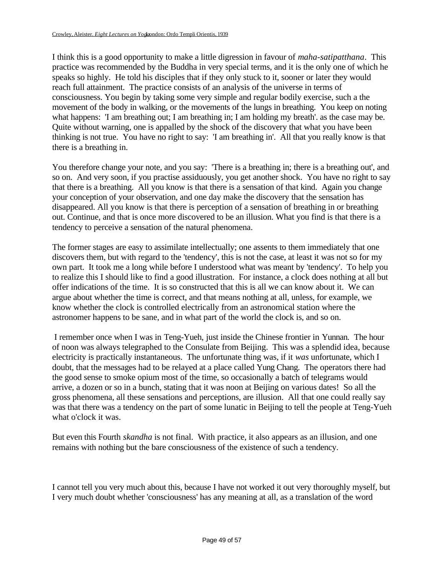I think this is a good opportunity to make a little digression in favour of *maha-satipatthana*. This practice was recommended by the Buddha in very special terms, and it is the only one of which he speaks so highly. He told his disciples that if they only stuck to it, sooner or later they would reach full attainment. The practice consists of an analysis of the universe in terms of consciousness. You begin by taking some very simple and regular bodily exercise, such a the movement of the body in walking, or the movements of the lungs in breathing. You keep on noting what happens: 'I am breathing out; I am breathing in; I am holding my breath'. as the case may be. Quite without warning, one is appalled by the shock of the discovery that what you have been thinking is not true. You have no right to say: 'I am breathing in'. All that you really know is that there is a breathing in.

You therefore change your note, and you say: 'There is a breathing in; there is a breathing out', and so on. And very soon, if you practise assiduously, you get another shock. You have no right to say that there is a breathing. All you know is that there is a sensation of that kind. Again you change your conception of your observation, and one day make the discovery that the sensation has disappeared. All you know is that there is perception of a sensation of breathing in or breathing out. Continue, and that is once more discovered to be an illusion. What you find is that there is a tendency to perceive a sensation of the natural phenomena.

The former stages are easy to assimilate intellectually; one assents to them immediately that one discovers them, but with regard to the 'tendency', this is not the case, at least it was not so for my own part. It took me a long while before I understood what was meant by 'tendency'. To help you to realize this I should like to find a good illustration. For instance, a clock does nothing at all but offer indications of the time. It is so constructed that this is all we can know about it. We can argue about whether the time is correct, and that means nothing at all, unless, for example, we know whether the clock is controlled electrically from an astronomical station where the astronomer happens to be sane, and in what part of the world the clock is, and so on.

 I remember once when I was in Teng-Yueh, just inside the Chinese frontier in Yunnan. The hour of noon was always telegraphed to the Consulate from Beijing. This was a splendid idea, because electricity is practically instantaneous. The unfortunate thing was, if it *was* unfortunate, which I doubt, that the messages had to be relayed at a place called Yung Chang. The operators there had the good sense to smoke opium most of the time, so occasionally a batch of telegrams would arrive, a dozen or so in a bunch, stating that it was noon at Beijing on various dates! So all the gross phenomena, all these sensations and perceptions, are illusion. All that one could really say was that there was a tendency on the part of some lunatic in Beijing to tell the people at Teng-Yueh what o'clock it was.

But even this Fourth *skandha* is not final. With practice, it also appears as an illusion, and one remains with nothing but the bare consciousness of the existence of such a tendency.

I cannot tell you very much about this, because I have not worked it out very thoroughly myself, but I very much doubt whether 'consciousness' has any meaning at all, as a translation of the word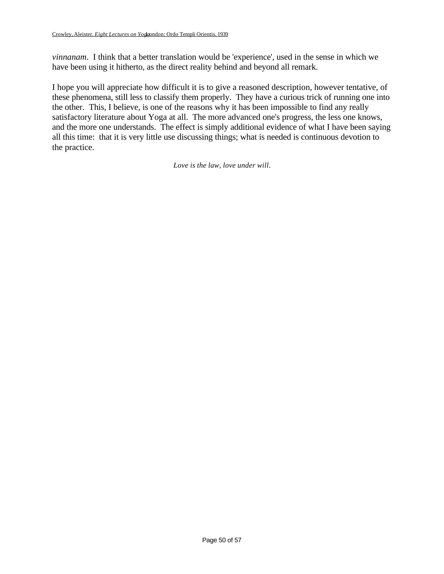*vinnanam*. I think that a better translation would be 'experience', used in the sense in which we have been using it hitherto, as the direct reality behind and beyond all remark.

I hope you will appreciate how difficult it is to give a reasoned description, however tentative, of these phenomena, still less to classify them properly. They have a curious trick of running one into the other. This, I believe, is one of the reasons why it has been impossible to find any really satisfactory literature about Yoga at all. The more advanced one's progress, the less one knows, and the more one understands. The effect is simply additional evidence of what I have been saying all this time: that it is very little use discussing things; what is needed is continuous devotion to the practice.

*Love is the law, love under will*.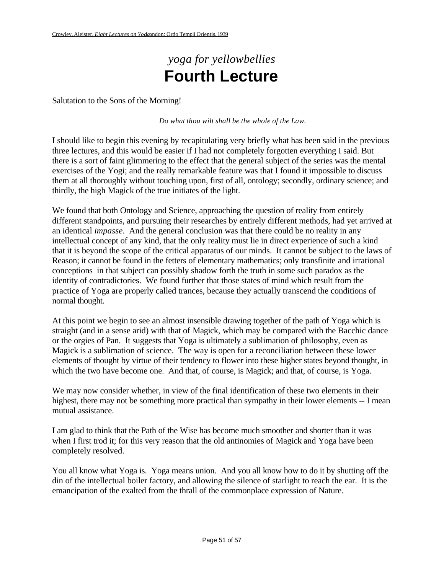# *yoga for yellowbellies* **Fourth Lecture**

Salutation to the Sons of the Morning!

*Do what thou wilt shall be the whole of the Law.*

I should like to begin this evening by recapitulating very briefly what has been said in the previous three lectures, and this would be easier if I had not completely forgotten everything I said. But there is a sort of faint glimmering to the effect that the general subject of the series was the mental exercises of the Yogi; and the really remarkable feature was that I found it impossible to discuss them at all thoroughly without touching upon, first of all, ontology; secondly, ordinary science; and thirdly, the high Magick of the true initiates of the light.

We found that both Ontology and Science, approaching the question of reality from entirely different standpoints, and pursuing their researches by entirely different methods, had yet arrived at an identical *impasse*. And the general conclusion was that there could be no reality in any intellectual concept of any kind, that the only reality must lie in direct experience of such a kind that it is beyond the scope of the critical apparatus of our minds. It cannot be subject to the laws of Reason; it cannot be found in the fetters of elementary mathematics; only transfinite and irrational conceptions in that subject can possibly shadow forth the truth in some such paradox as the identity of contradictories. We found further that those states of mind which result from the practice of Yoga are properly called trances, because they actually transcend the conditions of normal thought.

At this point we begin to see an almost insensible drawing together of the path of Yoga which is straight (and in a sense arid) with that of Magick, which may be compared with the Bacchic dance or the orgies of Pan. It suggests that Yoga is ultimately a sublimation of philosophy, even as Magick is a sublimation of science. The way is open for a reconciliation between these lower elements of thought by virtue of their tendency to flower into these higher states beyond thought, in which the two have become one. And that, of course, is Magick; and that, of course, is Yoga.

We may now consider whether, in view of the final identification of these two elements in their highest, there may not be something more practical than sympathy in their lower elements -- I mean mutual assistance.

I am glad to think that the Path of the Wise has become much smoother and shorter than it was when I first trod it; for this very reason that the old antinomies of Magick and Yoga have been completely resolved.

You all know what Yoga is. Yoga means union. And you all know how to do it by shutting off the din of the intellectual boiler factory, and allowing the silence of starlight to reach the ear. It is the emancipation of the exalted from the thrall of the commonplace expression of Nature.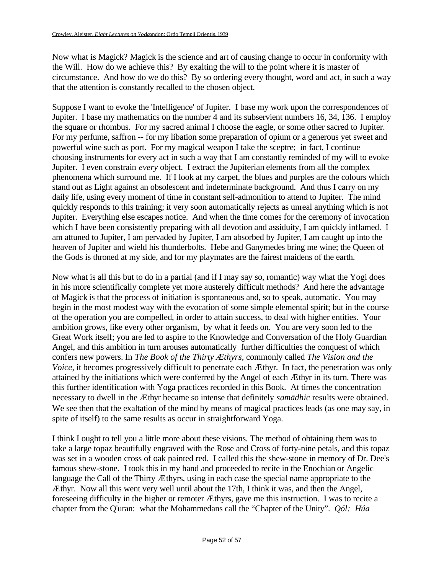Now what is Magick? Magick is the science and art of causing change to occur in conformity with the Will. How do we achieve this? By exalting the will to the point where it is master of circumstance. And how do we do this? By so ordering every thought, word and act, in such a way that the attention is constantly recalled to the chosen object.

Suppose I want to evoke the 'Intelligence' of Jupiter. I base my work upon the correspondences of Jupiter. I base my mathematics on the number 4 and its subservient numbers 16, 34, 136. I employ the square or rhombus. For my sacred animal I choose the eagle, or some other sacred to Jupiter. For my perfume, saffron -- for my libation some preparation of opium or a generous yet sweet and powerful wine such as port. For my magical weapon I take the sceptre; in fact, I continue choosing instruments for every act in such a way that I am constantly reminded of my will to evoke Jupiter. I even constrain *every* object. I extract the Jupiterian elements from all the complex phenomena which surround me. If I look at my carpet, the blues and purples are the colours which stand out as Light against an obsolescent and indeterminate background. And thus I carry on my daily life, using every moment of time in constant self-admonition to attend to Jupiter. The mind quickly responds to this training; it very soon automatically rejects as unreal anything which is not Jupiter. Everything else escapes notice. And when the time comes for the ceremony of invocation which I have been consistently preparing with all devotion and assiduity, I am quickly inflamed. I am attuned to Jupiter, I am pervaded by Jupiter, I am absorbed by Jupiter, I am caught up into the heaven of Jupiter and wield his thunderbolts. Hebe and Ganymedes bring me wine; the Queen of the Gods is throned at my side, and for my playmates are the fairest maidens of the earth.

Now what is all this but to do in a partial (and if I may say so, romantic) way what the Yogi does in his more scientifically complete yet more austerely difficult methods? And here the advantage of Magick is that the process of initiation is spontaneous and, so to speak, automatic. You may begin in the most modest way with the evocation of some simple elemental spirit; but in the course of the operation you are compelled, in order to attain success, to deal with higher entities. Your ambition grows, like every other organism, by what it feeds on. You are very soon led to the Great Work itself; you are led to aspire to the Knowledge and Conversation of the Holy Guardian Angel, and this ambition in turn arouses automatically further difficulties the conquest of which confers new powers. In *The Book of the Thirty Æthyrs*, commonly called *The Vision and the Voice*, it becomes progressively difficult to penetrate each Æthyr. In fact, the penetration was only attained by the initiations which were conferred by the Angel of each Æthyr in its turn. There was this further identification with Yoga practices recorded in this Book. At times the concentration necessary to dwell in the Æthyr became so intense that definitely *sama¤dhic* results were obtained. We see then that the exaltation of the mind by means of magical practices leads (as one may say, in spite of itself) to the same results as occur in straightforward Yoga.

I think I ought to tell you a little more about these visions. The method of obtaining them was to take a large topaz beautifully engraved with the Rose and Cross of forty-nine petals, and this topaz was set in a wooden cross of oak painted red. I called this the shew-stone in memory of Dr. Dee's famous shew-stone. I took this in my hand and proceeded to recite in the Enochian or Angelic language the Call of the Thirty Æthyrs, using in each case the special name appropriate to the Æthyr. Now all this went very well until about the 17th, I think it was, and then the Angel, foreseeing difficulty in the higher or remoter Æthyrs, gave me this instruction. I was to recite a chapter from the Q'uran: what the Mohammedans call the "Chapter of the Unity". *Qól: Húa*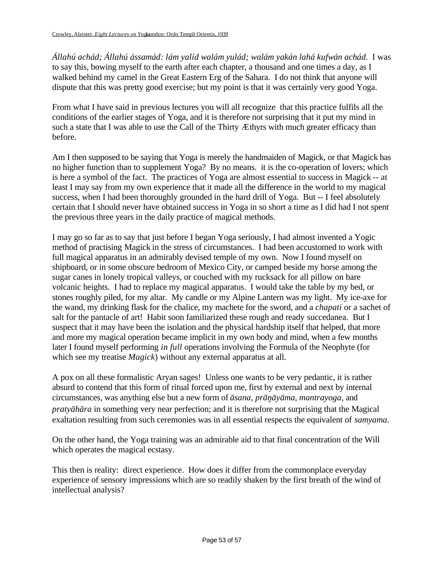*Állahú achád; Állahú ássamád: lám yalíd walám yulád; walám yakán lahá kufwán achád*. I was to say this, bowing myself to the earth after each chapter, a thousand and one times a day, as I walked behind my camel in the Great Eastern Erg of the Sahara. I do not think that anyone will dispute that this was pretty good exercise; but my point is that it was certainly very good Yoga.

From what I have said in previous lectures you will all recognize that this practice fulfils all the conditions of the earlier stages of Yoga, and it is therefore not surprising that it put my mind in such a state that I was able to use the Call of the Thirty Æthyrs with much greater efficacy than before.

Am I then supposed to be saying that Yoga is merely the handmaiden of Magick, or that Magick has no higher function than to supplement Yoga? By no means. it is the co-operation of lovers; which is here a symbol of the fact. The practices of Yoga are almost essential to success in Magick -- at least I may say from my own experience that it made all the difference in the world to my magical success, when I had been thoroughly grounded in the hard drill of Yoga. But -- I feel absolutely certain that I should never have obtained success in Yoga in so short a time as I did had I not spent the previous three years in the daily practice of magical methods.

I may go so far as to say that just before I began Yoga seriously, I had almost invented a Yogic method of practising Magick in the stress of circumstances. I had been accustomed to work with full magical apparatus in an admirably devised temple of my own. Now I found myself on shipboard, or in some obscure bedroom of Mexico City, or camped beside my horse among the sugar canes in lonely tropical valleys, or couched with my rucksack for all pillow on bare volcanic heights. I had to replace my magical apparatus. I would take the table by my bed, or stones roughly piled, for my altar. My candle or my Alpine Lantern was my light. My ice-axe for the wand, my drinking flask for the chalice, my machete for the sword, and a *chapati* or a sachet of salt for the pantacle of art! Habit soon familiarized these rough and ready succedanea. But I suspect that it may have been the isolation and the physical hardship itself that helped, that more and more my magical operation became implicit in my own body and mind, when a few months later I found myself performing *in full* operations involving the Formula of the Neophyte (for which see my treatise *Magick*) without any external apparatus at all.

A pox on all these formalistic Aryan sages! Unless one wants to be very pedantic, it is rather absurd to contend that this form of ritual forced upon me, first by external and next by internal circumstances, was anything else but a new form of *a¤sana, pra¤n²a¤ya¤ma, mantrayoga*, and *pratya¤ha¤ra* in something very near perfection; and it is therefore not surprising that the Magical exaltation resulting from such ceremonies was in all essential respects the equivalent of *samyama*.

On the other hand, the Yoga training was an admirable aid to that final concentration of the Will which operates the magical ecstasy.

This then is reality: direct experience. How does it differ from the commonplace everyday experience of sensory impressions which are so readily shaken by the first breath of the wind of intellectual analysis?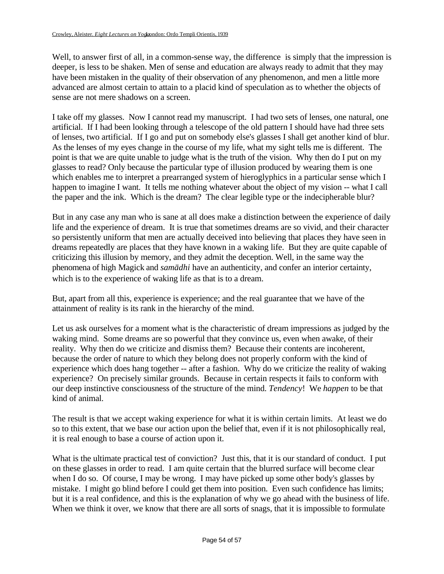Well, to answer first of all, in a common-sense way, the difference is simply that the impression is deeper, is less to be shaken. Men of sense and education are always ready to admit that they may have been mistaken in the quality of their observation of any phenomenon, and men a little more advanced are almost certain to attain to a placid kind of speculation as to whether the objects of sense are not mere shadows on a screen.

I take off my glasses. Now I cannot read my manuscript. I had two sets of lenses, one natural, one artificial. If I had been looking through a telescope of the old pattern I should have had three sets of lenses, two artificial. If I go and put on somebody else's glasses I shall get another kind of blur. As the lenses of my eyes change in the course of my life, what my sight tells me is different. The point is that we are quite unable to judge what is the truth of the vision. Why then do I put on my glasses to read? Only because the particular type of illusion produced by wearing them is one which enables me to interpret a prearranged system of hieroglyphics in a particular sense which I happen to imagine I want. It tells me nothing whatever about the object of my vision -- what I call the paper and the ink. Which is the dream? The clear legible type or the indecipherable blur?

But in any case any man who is sane at all does make a distinction between the experience of daily life and the experience of dream. It is true that sometimes dreams are so vivid, and their character so persistently uniform that men are actually deceived into believing that places they have seen in dreams repeatedly are places that they have known in a waking life. But they are quite capable of criticizing this illusion by memory, and they admit the deception. Well, in the same way the phenomena of high Magick and *sama¤dhi* have an authenticity, and confer an interior certainty, which is to the experience of waking life as that is to a dream.

But, apart from all this, experience is experience; and the real guarantee that we have of the attainment of reality is its rank in the hierarchy of the mind.

Let us ask ourselves for a moment what is the characteristic of dream impressions as judged by the waking mind. Some dreams are so powerful that they convince us, even when awake, of their reality. Why then do we criticize and dismiss them? Because their contents are incoherent, because the order of nature to which they belong does not properly conform with the kind of experience which does hang together -- after a fashion. Why do we criticize the reality of waking experience? On precisely similar grounds. Because in certain respects it fails to conform with our deep instinctive consciousness of the structure of the mind. *Tendency*! We *happen* to be that kind of animal.

The result is that we accept waking experience for what it is within certain limits. At least we do so to this extent, that we base our action upon the belief that, even if it is not philosophically real, it is real enough to base a course of action upon it.

What is the ultimate practical test of conviction? Just this, that it is our standard of conduct. I put on these glasses in order to read. I am quite certain that the blurred surface will become clear when I do so. Of course, I may be wrong. I may have picked up some other body's glasses by mistake. I might go blind before I could get them into position. Even such confidence has limits; but it is a real confidence, and this is the explanation of why we go ahead with the business of life. When we think it over, we know that there are all sorts of snags, that it is impossible to formulate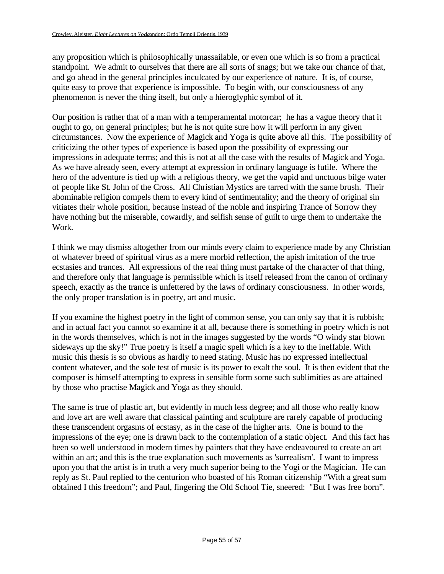any proposition which is philosophically unassailable, or even one which is so from a practical standpoint. We admit to ourselves that there are all sorts of snags; but we take our chance of that, and go ahead in the general principles inculcated by our experience of nature. It is, of course, quite easy to prove that experience is impossible. To begin with, our consciousness of any phenomenon is never the thing itself, but only a hieroglyphic symbol of it.

Our position is rather that of a man with a temperamental motorcar; he has a vague theory that it ought to go, on general principles; but he is not quite sure how it will perform in any given circumstances. Now the experience of Magick and Yoga is quite above all this. The possibility of criticizing the other types of experience is based upon the possibility of expressing our impressions in adequate terms; and this is not at all the case with the results of Magick and Yoga. As we have already seen, every attempt at expression in ordinary language is futile. Where the hero of the adventure is tied up with a religious theory, we get the vapid and unctuous bilge water of people like St. John of the Cross. All Christian Mystics are tarred with the same brush. Their abominable religion compels them to every kind of sentimentality; and the theory of original sin vitiates their whole position, because instead of the noble and inspiring Trance of Sorrow they have nothing but the miserable, cowardly, and selfish sense of guilt to urge them to undertake the Work.

I think we may dismiss altogether from our minds every claim to experience made by any Christian of whatever breed of spiritual virus as a mere morbid reflection, the apish imitation of the true ecstasies and trances. All expressions of the real thing must partake of the character of that thing, and therefore only that language is permissible which is itself released from the canon of ordinary speech, exactly as the trance is unfettered by the laws of ordinary consciousness. In other words, the only proper translation is in poetry, art and music.

If you examine the highest poetry in the light of common sense, you can only say that it is rubbish; and in actual fact you cannot so examine it at all, because there is something in poetry which is not in the words themselves, which is not in the images suggested by the words "O windy star blown sideways up the sky!" True poetry is itself a magic spell which is a key to the ineffable. With music this thesis is so obvious as hardly to need stating. Music has no expressed intellectual content whatever, and the sole test of music is its power to exalt the soul. It is then evident that the composer is himself attempting to express in sensible form some such sublimities as are attained by those who practise Magick and Yoga as they should.

The same is true of plastic art, but evidently in much less degree; and all those who really know and love art are well aware that classical painting and sculpture are rarely capable of producing these transcendent orgasms of ecstasy, as in the case of the higher arts. One is bound to the impressions of the eye; one is drawn back to the contemplation of a static object. And this fact has been so well understood in modern times by painters that they have endeavoured to create an art within an art; and this is the true explanation such movements as 'surrealism'. I want to impress upon you that the artist is in truth a very much superior being to the Yogi or the Magician. He can reply as St. Paul replied to the centurion who boasted of his Roman citizenship "With a great sum obtained I this freedom"; and Paul, fingering the Old School Tie, sneered: "But I was free born".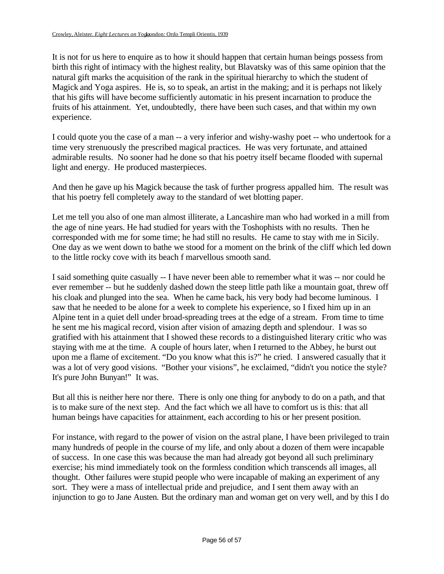It is not for us here to enquire as to how it should happen that certain human beings possess from birth this right of intimacy with the highest reality, but Blavatsky was of this same opinion that the natural gift marks the acquisition of the rank in the spiritual hierarchy to which the student of Magick and Yoga aspires. He is, so to speak, an artist in the making; and it is perhaps not likely that his gifts will have become sufficiently automatic in his present incarnation to produce the fruits of his attainment. Yet, undoubtedly, there have been such cases, and that within my own experience.

I could quote you the case of a man -- a very inferior and wishy-washy poet -- who undertook for a time very strenuously the prescribed magical practices. He was very fortunate, and attained admirable results. No sooner had he done so that his poetry itself became flooded with supernal light and energy. He produced masterpieces.

And then he gave up his Magick because the task of further progress appalled him. The result was that his poetry fell completely away to the standard of wet blotting paper.

Let me tell you also of one man almost illiterate, a Lancashire man who had worked in a mill from the age of nine years. He had studied for years with the Toshophists with no results. Then he corresponded with me for some time; he had still no results. He came to stay with me in Sicily. One day as we went down to bathe we stood for a moment on the brink of the cliff which led down to the little rocky cove with its beach f marvellous smooth sand.

I said something quite casually -- I have never been able to remember what it was -- nor could he ever remember -- but he suddenly dashed down the steep little path like a mountain goat, threw off his cloak and plunged into the sea. When he came back, his very body had become luminous. I saw that he needed to be alone for a week to complete his experience, so I fixed him up in an Alpine tent in a quiet dell under broad-spreading trees at the edge of a stream. From time to time he sent me his magical record, vision after vision of amazing depth and splendour. I was so gratified with his attainment that I showed these records to a distinguished literary critic who was staying with me at the time. A couple of hours later, when I returned to the Abbey, he burst out upon me a flame of excitement. "Do you know what this is?" he cried. I answered casually that it was a lot of very good visions. "Bother your visions", he exclaimed, "didn't you notice the style? It's pure John Bunyan!" It was.

But all this is neither here nor there. There is only one thing for anybody to do on a path, and that is to make sure of the next step. And the fact which we all have to comfort us is this: that all human beings have capacities for attainment, each according to his or her present position.

For instance, with regard to the power of vision on the astral plane, I have been privileged to train many hundreds of people in the course of my life, and only about a dozen of them were incapable of success. In one case this was because the man had already got beyond all such preliminary exercise; his mind immediately took on the formless condition which transcends all images, all thought. Other failures were stupid people who were incapable of making an experiment of any sort. They were a mass of intellectual pride and prejudice, and I sent them away with an injunction to go to Jane Austen. But the ordinary man and woman get on very well, and by this I do